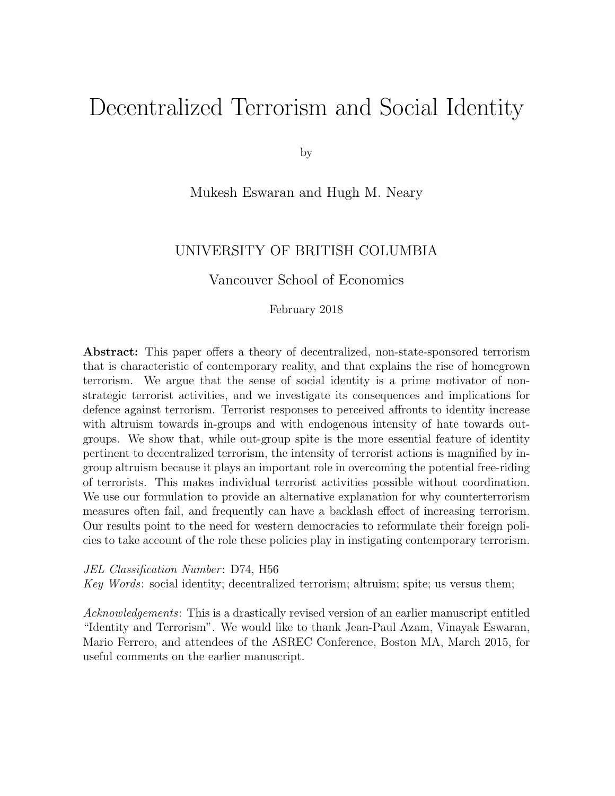# Decentralized Terrorism and Social Identity

by

#### Mukesh Eswaran and Hugh M. Neary

#### UNIVERSITY OF BRITISH COLUMBIA

Vancouver School of Economics

#### February 2018

Abstract: This paper offers a theory of decentralized, non-state-sponsored terrorism that is characteristic of contemporary reality, and that explains the rise of homegrown terrorism. We argue that the sense of social identity is a prime motivator of nonstrategic terrorist activities, and we investigate its consequences and implications for defence against terrorism. Terrorist responses to perceived affronts to identity increase with altruism towards in-groups and with endogenous intensity of hate towards outgroups. We show that, while out-group spite is the more essential feature of identity pertinent to decentralized terrorism, the intensity of terrorist actions is magnified by ingroup altruism because it plays an important role in overcoming the potential free-riding of terrorists. This makes individual terrorist activities possible without coordination. We use our formulation to provide an alternative explanation for why counterterrorism measures often fail, and frequently can have a backlash effect of increasing terrorism. Our results point to the need for western democracies to reformulate their foreign policies to take account of the role these policies play in instigating contemporary terrorism.

JEL Classification Number: D74, H56

Key Words: social identity; decentralized terrorism; altruism; spite; us versus them;

Acknowledgements: This is a drastically revised version of an earlier manuscript entitled "Identity and Terrorism". We would like to thank Jean-Paul Azam, Vinayak Eswaran, Mario Ferrero, and attendees of the ASREC Conference, Boston MA, March 2015, for useful comments on the earlier manuscript.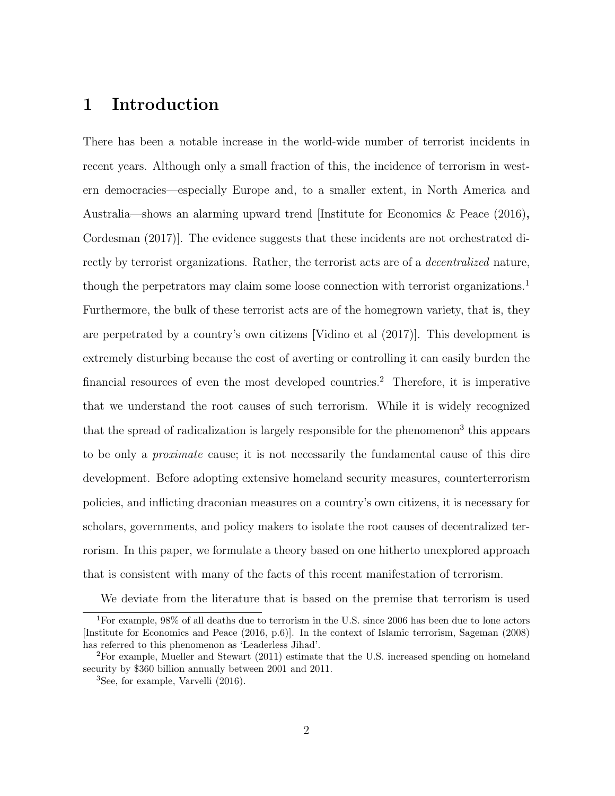### 1 Introduction

There has been a notable increase in the world-wide number of terrorist incidents in recent years. Although only a small fraction of this, the incidence of terrorism in western democracies—especially Europe and, to a smaller extent, in North America and Australia—shows an alarming upward trend [Institute for Economics & Peace (2016), Cordesman (2017)]. The evidence suggests that these incidents are not orchestrated directly by terrorist organizations. Rather, the terrorist acts are of a decentralized nature, though the perpetrators may claim some loose connection with terrorist organizations.<sup>1</sup> Furthermore, the bulk of these terrorist acts are of the homegrown variety, that is, they are perpetrated by a country's own citizens [Vidino et al (2017)]. This development is extremely disturbing because the cost of averting or controlling it can easily burden the financial resources of even the most developed countries.<sup>2</sup> Therefore, it is imperative that we understand the root causes of such terrorism. While it is widely recognized that the spread of radicalization is largely responsible for the phenomenon<sup>3</sup> this appears to be only a proximate cause; it is not necessarily the fundamental cause of this dire development. Before adopting extensive homeland security measures, counterterrorism policies, and inflicting draconian measures on a country's own citizens, it is necessary for scholars, governments, and policy makers to isolate the root causes of decentralized terrorism. In this paper, we formulate a theory based on one hitherto unexplored approach that is consistent with many of the facts of this recent manifestation of terrorism.

We deviate from the literature that is based on the premise that terrorism is used

<sup>1</sup>For example, 98% of all deaths due to terrorism in the U.S. since 2006 has been due to lone actors [Institute for Economics and Peace (2016, p.6)]. In the context of Islamic terrorism, Sageman (2008) has referred to this phenomenon as 'Leaderless Jihad'.

<sup>2</sup>For example, Mueller and Stewart (2011) estimate that the U.S. increased spending on homeland security by \$360 billion annually between 2001 and 2011.

<sup>&</sup>lt;sup>3</sup>See, for example, Varvelli (2016).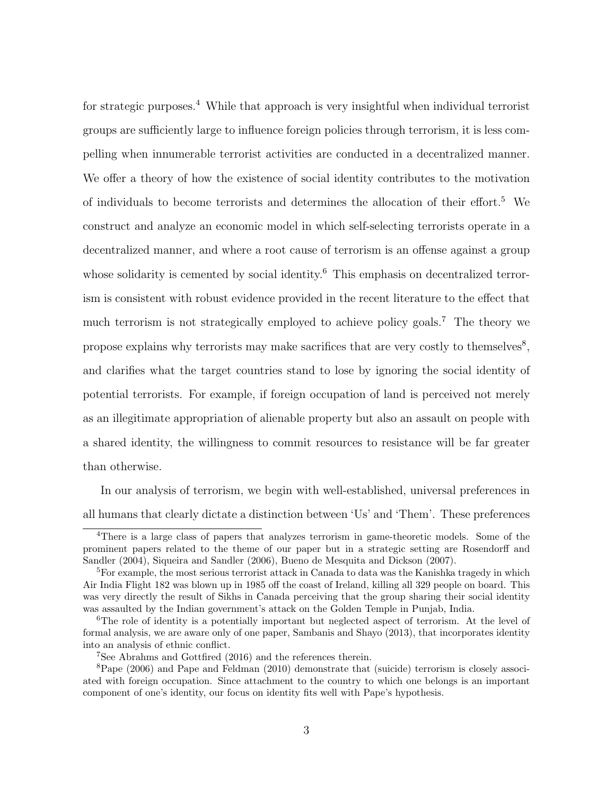for strategic purposes.<sup>4</sup> While that approach is very insightful when individual terrorist groups are sufficiently large to influence foreign policies through terrorism, it is less compelling when innumerable terrorist activities are conducted in a decentralized manner. We offer a theory of how the existence of social identity contributes to the motivation of individuals to become terrorists and determines the allocation of their effort.<sup>5</sup> We construct and analyze an economic model in which self-selecting terrorists operate in a decentralized manner, and where a root cause of terrorism is an offense against a group whose solidarity is cemented by social identity.<sup>6</sup> This emphasis on decentralized terrorism is consistent with robust evidence provided in the recent literature to the effect that much terrorism is not strategically employed to achieve policy goals.<sup>7</sup> The theory we propose explains why terrorists may make sacrifices that are very costly to themselves<sup>8</sup>, and clarifies what the target countries stand to lose by ignoring the social identity of potential terrorists. For example, if foreign occupation of land is perceived not merely as an illegitimate appropriation of alienable property but also an assault on people with a shared identity, the willingness to commit resources to resistance will be far greater than otherwise.

In our analysis of terrorism, we begin with well-established, universal preferences in all humans that clearly dictate a distinction between 'Us' and 'Them'. These preferences

<sup>&</sup>lt;sup>4</sup>There is a large class of papers that analyzes terrorism in game-theoretic models. Some of the prominent papers related to the theme of our paper but in a strategic setting are Rosendorff and Sandler (2004), Siqueira and Sandler (2006), Bueno de Mesquita and Dickson (2007).

 ${}^{5}$ For example, the most serious terrorist attack in Canada to data was the Kanishka tragedy in which Air India Flight 182 was blown up in 1985 off the coast of Ireland, killing all 329 people on board. This was very directly the result of Sikhs in Canada perceiving that the group sharing their social identity was assaulted by the Indian government's attack on the Golden Temple in Punjab, India.

 $6$ The role of identity is a potentially important but neglected aspect of terrorism. At the level of formal analysis, we are aware only of one paper, Sambanis and Shayo (2013), that incorporates identity into an analysis of ethnic conflict.

<sup>7</sup>See Abrahms and Gottfired (2016) and the references therein.

<sup>8</sup>Pape (2006) and Pape and Feldman (2010) demonstrate that (suicide) terrorism is closely associated with foreign occupation. Since attachment to the country to which one belongs is an important component of one's identity, our focus on identity fits well with Pape's hypothesis.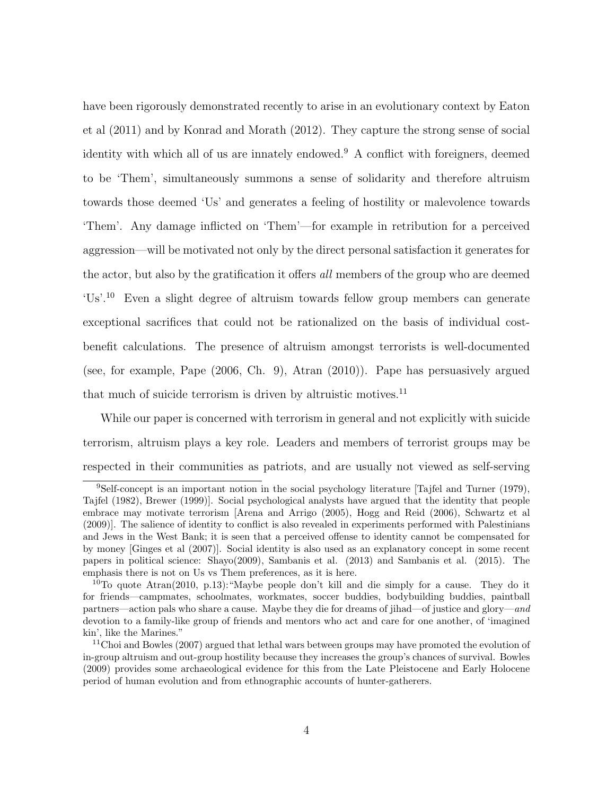have been rigorously demonstrated recently to arise in an evolutionary context by Eaton et al (2011) and by Konrad and Morath (2012). They capture the strong sense of social identity with which all of us are innately endowed.<sup>9</sup> A conflict with foreigners, deemed to be 'Them', simultaneously summons a sense of solidarity and therefore altruism towards those deemed 'Us' and generates a feeling of hostility or malevolence towards 'Them'. Any damage inflicted on 'Them'—for example in retribution for a perceived aggression—will be motivated not only by the direct personal satisfaction it generates for the actor, but also by the gratification it offers all members of the group who are deemed 'Us'.<sup>10</sup> Even a slight degree of altruism towards fellow group members can generate exceptional sacrifices that could not be rationalized on the basis of individual costbenefit calculations. The presence of altruism amongst terrorists is well-documented (see, for example, Pape (2006, Ch. 9), Atran (2010)). Pape has persuasively argued that much of suicide terrorism is driven by altruistic motives. $^{11}$ 

While our paper is concerned with terrorism in general and not explicitly with suicide terrorism, altruism plays a key role. Leaders and members of terrorist groups may be respected in their communities as patriots, and are usually not viewed as self-serving

<sup>&</sup>lt;sup>9</sup>Self-concept is an important notion in the social psychology literature [Tajfel and Turner (1979), Tajfel (1982), Brewer (1999)]. Social psychological analysts have argued that the identity that people embrace may motivate terrorism [Arena and Arrigo (2005), Hogg and Reid (2006), Schwartz et al (2009)]. The salience of identity to conflict is also revealed in experiments performed with Palestinians and Jews in the West Bank; it is seen that a perceived offense to identity cannot be compensated for by money [Ginges et al (2007)]. Social identity is also used as an explanatory concept in some recent papers in political science: Shayo(2009), Sambanis et al. (2013) and Sambanis et al. (2015). The emphasis there is not on Us vs Them preferences, as it is here.

<sup>&</sup>lt;sup>10</sup>To quote Atran(2010, p.13): "Maybe people don't kill and die simply for a cause. They do it for friends—campmates, schoolmates, workmates, soccer buddies, bodybuilding buddies, paintball partners—action pals who share a cause. Maybe they die for dreams of jihad—of justice and glory—and devotion to a family-like group of friends and mentors who act and care for one another, of 'imagined kin', like the Marines."

<sup>&</sup>lt;sup>11</sup>Choi and Bowles (2007) argued that lethal wars between groups may have promoted the evolution of in-group altruism and out-group hostility because they increases the group's chances of survival. Bowles (2009) provides some archaeological evidence for this from the Late Pleistocene and Early Holocene period of human evolution and from ethnographic accounts of hunter-gatherers.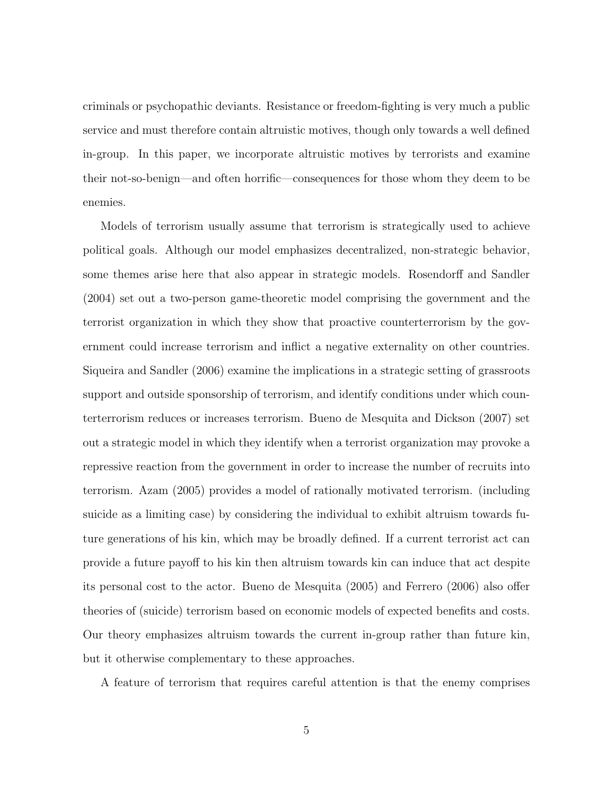criminals or psychopathic deviants. Resistance or freedom-fighting is very much a public service and must therefore contain altruistic motives, though only towards a well defined in-group. In this paper, we incorporate altruistic motives by terrorists and examine their not-so-benign—and often horrific—consequences for those whom they deem to be enemies.

Models of terrorism usually assume that terrorism is strategically used to achieve political goals. Although our model emphasizes decentralized, non-strategic behavior, some themes arise here that also appear in strategic models. Rosendorff and Sandler (2004) set out a two-person game-theoretic model comprising the government and the terrorist organization in which they show that proactive counterterrorism by the government could increase terrorism and inflict a negative externality on other countries. Siqueira and Sandler (2006) examine the implications in a strategic setting of grassroots support and outside sponsorship of terrorism, and identify conditions under which counterterrorism reduces or increases terrorism. Bueno de Mesquita and Dickson (2007) set out a strategic model in which they identify when a terrorist organization may provoke a repressive reaction from the government in order to increase the number of recruits into terrorism. Azam (2005) provides a model of rationally motivated terrorism. (including suicide as a limiting case) by considering the individual to exhibit altruism towards future generations of his kin, which may be broadly defined. If a current terrorist act can provide a future payoff to his kin then altruism towards kin can induce that act despite its personal cost to the actor. Bueno de Mesquita (2005) and Ferrero (2006) also offer theories of (suicide) terrorism based on economic models of expected benefits and costs. Our theory emphasizes altruism towards the current in-group rather than future kin, but it otherwise complementary to these approaches.

A feature of terrorism that requires careful attention is that the enemy comprises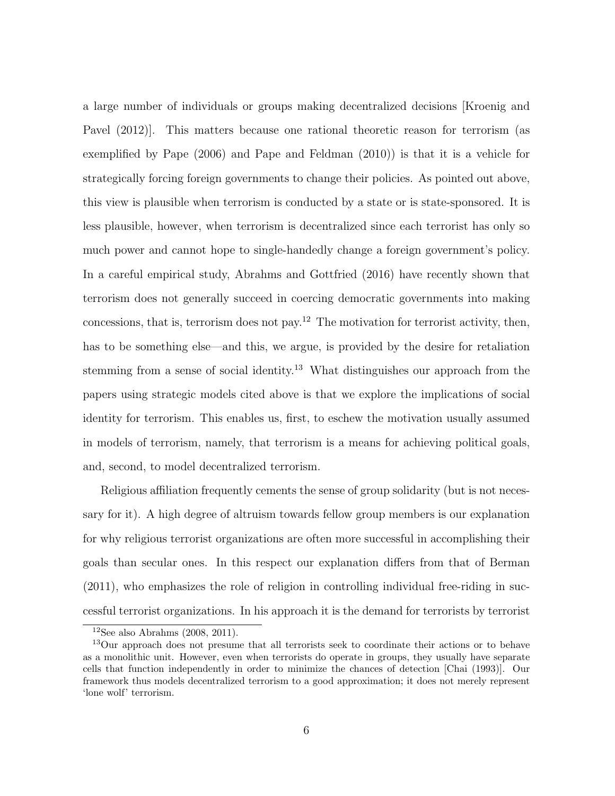a large number of individuals or groups making decentralized decisions [Kroenig and Pavel (2012)]. This matters because one rational theoretic reason for terrorism (as exemplified by Pape (2006) and Pape and Feldman (2010)) is that it is a vehicle for strategically forcing foreign governments to change their policies. As pointed out above, this view is plausible when terrorism is conducted by a state or is state-sponsored. It is less plausible, however, when terrorism is decentralized since each terrorist has only so much power and cannot hope to single-handedly change a foreign government's policy. In a careful empirical study, Abrahms and Gottfried (2016) have recently shown that terrorism does not generally succeed in coercing democratic governments into making concessions, that is, terrorism does not pay.<sup>12</sup> The motivation for terrorist activity, then, has to be something else—and this, we argue, is provided by the desire for retaliation stemming from a sense of social identity.<sup>13</sup> What distinguishes our approach from the papers using strategic models cited above is that we explore the implications of social identity for terrorism. This enables us, first, to eschew the motivation usually assumed in models of terrorism, namely, that terrorism is a means for achieving political goals, and, second, to model decentralized terrorism.

Religious affiliation frequently cements the sense of group solidarity (but is not necessary for it). A high degree of altruism towards fellow group members is our explanation for why religious terrorist organizations are often more successful in accomplishing their goals than secular ones. In this respect our explanation differs from that of Berman (2011), who emphasizes the role of religion in controlling individual free-riding in successful terrorist organizations. In his approach it is the demand for terrorists by terrorist

 $12$ See also Abrahms (2008, 2011).

<sup>13</sup>Our approach does not presume that all terrorists seek to coordinate their actions or to behave as a monolithic unit. However, even when terrorists do operate in groups, they usually have separate cells that function independently in order to minimize the chances of detection [Chai (1993)]. Our framework thus models decentralized terrorism to a good approximation; it does not merely represent 'lone wolf' terrorism.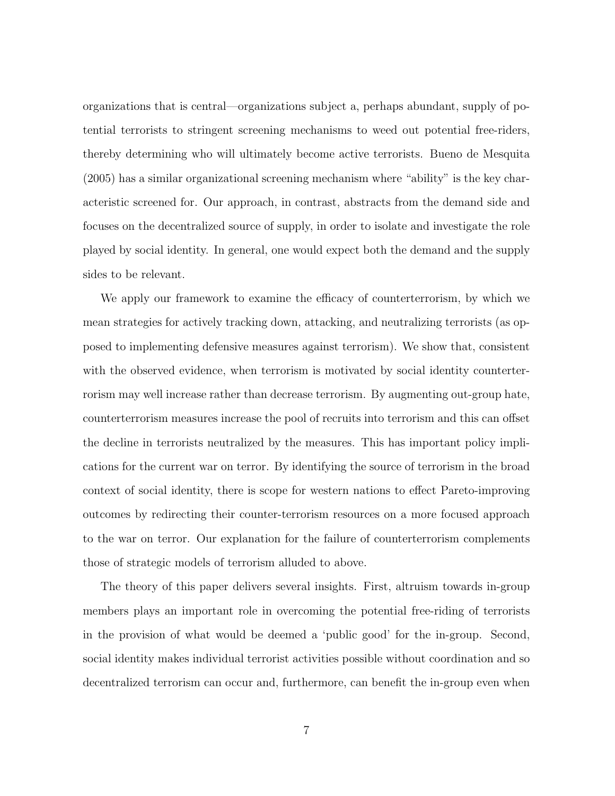organizations that is central—organizations subject a, perhaps abundant, supply of potential terrorists to stringent screening mechanisms to weed out potential free-riders, thereby determining who will ultimately become active terrorists. Bueno de Mesquita (2005) has a similar organizational screening mechanism where "ability" is the key characteristic screened for. Our approach, in contrast, abstracts from the demand side and focuses on the decentralized source of supply, in order to isolate and investigate the role played by social identity. In general, one would expect both the demand and the supply sides to be relevant.

We apply our framework to examine the efficacy of counterterrorism, by which we mean strategies for actively tracking down, attacking, and neutralizing terrorists (as opposed to implementing defensive measures against terrorism). We show that, consistent with the observed evidence, when terrorism is motivated by social identity counterterrorism may well increase rather than decrease terrorism. By augmenting out-group hate, counterterrorism measures increase the pool of recruits into terrorism and this can offset the decline in terrorists neutralized by the measures. This has important policy implications for the current war on terror. By identifying the source of terrorism in the broad context of social identity, there is scope for western nations to effect Pareto-improving outcomes by redirecting their counter-terrorism resources on a more focused approach to the war on terror. Our explanation for the failure of counterterrorism complements those of strategic models of terrorism alluded to above.

The theory of this paper delivers several insights. First, altruism towards in-group members plays an important role in overcoming the potential free-riding of terrorists in the provision of what would be deemed a 'public good' for the in-group. Second, social identity makes individual terrorist activities possible without coordination and so decentralized terrorism can occur and, furthermore, can benefit the in-group even when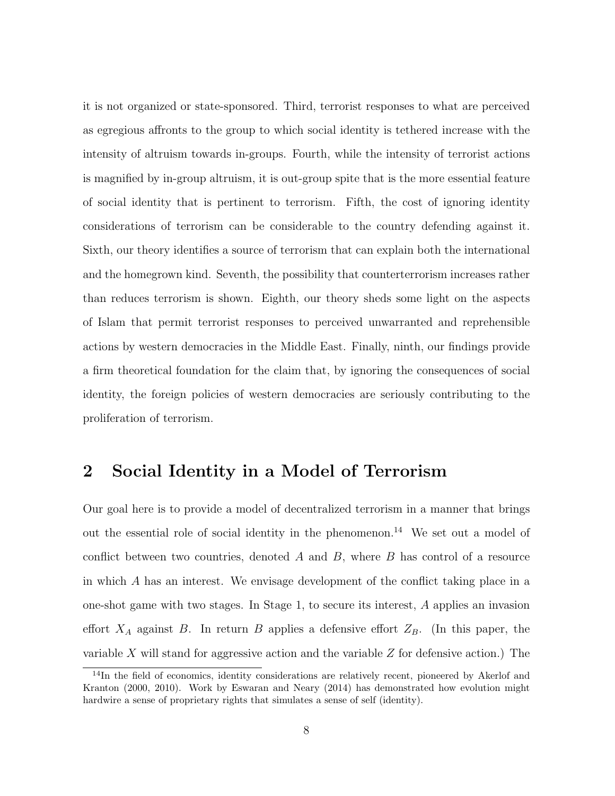it is not organized or state-sponsored. Third, terrorist responses to what are perceived as egregious affronts to the group to which social identity is tethered increase with the intensity of altruism towards in-groups. Fourth, while the intensity of terrorist actions is magnified by in-group altruism, it is out-group spite that is the more essential feature of social identity that is pertinent to terrorism. Fifth, the cost of ignoring identity considerations of terrorism can be considerable to the country defending against it. Sixth, our theory identifies a source of terrorism that can explain both the international and the homegrown kind. Seventh, the possibility that counterterrorism increases rather than reduces terrorism is shown. Eighth, our theory sheds some light on the aspects of Islam that permit terrorist responses to perceived unwarranted and reprehensible actions by western democracies in the Middle East. Finally, ninth, our findings provide a firm theoretical foundation for the claim that, by ignoring the consequences of social identity, the foreign policies of western democracies are seriously contributing to the proliferation of terrorism.

### 2 Social Identity in a Model of Terrorism

Our goal here is to provide a model of decentralized terrorism in a manner that brings out the essential role of social identity in the phenomenon.<sup>14</sup> We set out a model of conflict between two countries, denoted  $A$  and  $B$ , where  $B$  has control of a resource in which A has an interest. We envisage development of the conflict taking place in a one-shot game with two stages. In Stage 1, to secure its interest, A applies an invasion effort  $X_A$  against B. In return B applies a defensive effort  $Z_B$ . (In this paper, the variable  $X$  will stand for aggressive action and the variable  $Z$  for defensive action.) The

<sup>&</sup>lt;sup>14</sup>In the field of economics, identity considerations are relatively recent, pioneered by Akerlof and Kranton (2000, 2010). Work by Eswaran and Neary (2014) has demonstrated how evolution might hardwire a sense of proprietary rights that simulates a sense of self (identity).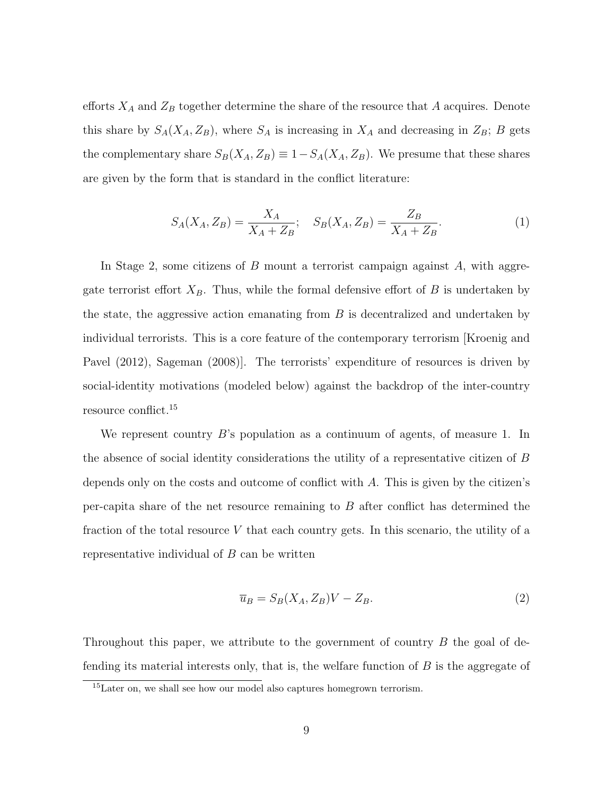efforts  $X_A$  and  $Z_B$  together determine the share of the resource that A acquires. Denote this share by  $S_A(X_A, Z_B)$ , where  $S_A$  is increasing in  $X_A$  and decreasing in  $Z_B$ ; B gets the complementary share  $S_B(X_A, Z_B) \equiv 1 - S_A(X_A, Z_B)$ . We presume that these shares are given by the form that is standard in the conflict literature:

$$
S_A(X_A, Z_B) = \frac{X_A}{X_A + Z_B}; \quad S_B(X_A, Z_B) = \frac{Z_B}{X_A + Z_B}.
$$
 (1)

In Stage 2, some citizens of B mount a terrorist campaign against  $A$ , with aggregate terrorist effort  $X_B$ . Thus, while the formal defensive effort of B is undertaken by the state, the aggressive action emanating from B is decentralized and undertaken by individual terrorists. This is a core feature of the contemporary terrorism [Kroenig and Pavel (2012), Sageman (2008)]. The terrorists' expenditure of resources is driven by social-identity motivations (modeled below) against the backdrop of the inter-country resource conflict.<sup>15</sup>

We represent country B's population as a continuum of agents, of measure 1. In the absence of social identity considerations the utility of a representative citizen of B depends only on the costs and outcome of conflict with A. This is given by the citizen's per-capita share of the net resource remaining to  $B$  after conflict has determined the fraction of the total resource  $V$  that each country gets. In this scenario, the utility of a representative individual of  $B$  can be written

$$
\overline{u}_B = S_B(X_A, Z_B)V - Z_B.
$$
\n<sup>(2)</sup>

Throughout this paper, we attribute to the government of country  $B$  the goal of defending its material interests only, that is, the welfare function of  $B$  is the aggregate of

<sup>&</sup>lt;sup>15</sup>Later on, we shall see how our model also captures homegrown terrorism.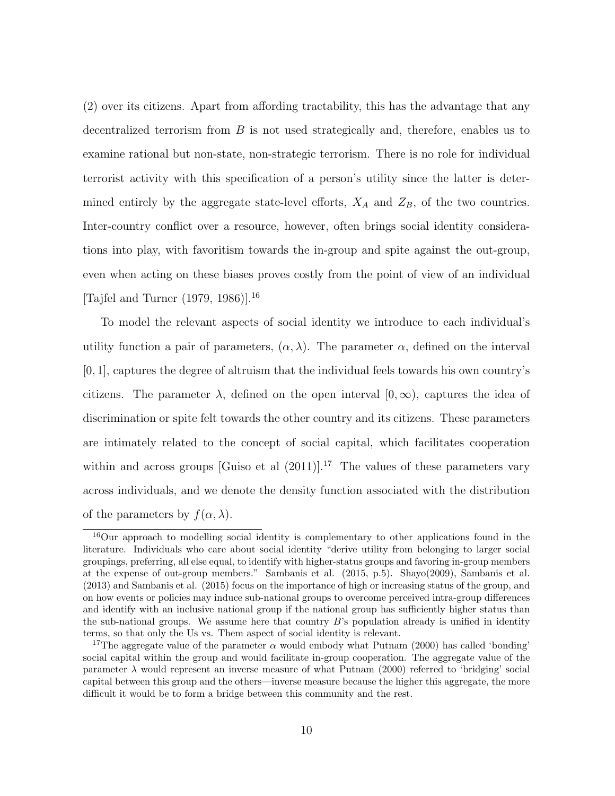(2) over its citizens. Apart from affording tractability, this has the advantage that any decentralized terrorism from B is not used strategically and, therefore, enables us to examine rational but non-state, non-strategic terrorism. There is no role for individual terrorist activity with this specification of a person's utility since the latter is determined entirely by the aggregate state-level efforts,  $X_A$  and  $Z_B$ , of the two countries. Inter-country conflict over a resource, however, often brings social identity considerations into play, with favoritism towards the in-group and spite against the out-group, even when acting on these biases proves costly from the point of view of an individual [Tajfel and Turner  $(1979, 1986)$ ].<sup>16</sup>

To model the relevant aspects of social identity we introduce to each individual's utility function a pair of parameters,  $(\alpha, \lambda)$ . The parameter  $\alpha$ , defined on the interval  $[0, 1]$ , captures the degree of altruism that the individual feels towards his own country's citizens. The parameter  $\lambda$ , defined on the open interval  $[0,\infty)$ , captures the idea of discrimination or spite felt towards the other country and its citizens. These parameters are intimately related to the concept of social capital, which facilitates cooperation within and across groups [Guiso et al  $(2011)$ ].<sup>17</sup> The values of these parameters vary across individuals, and we denote the density function associated with the distribution of the parameters by  $f(\alpha, \lambda)$ .

<sup>&</sup>lt;sup>16</sup>Our approach to modelling social identity is complementary to other applications found in the literature. Individuals who care about social identity "derive utility from belonging to larger social groupings, preferring, all else equal, to identify with higher-status groups and favoring in-group members at the expense of out-group members." Sambanis et al. (2015, p.5). Shayo(2009), Sambanis et al. (2013) and Sambanis et al. (2015) focus on the importance of high or increasing status of the group, and on how events or policies may induce sub-national groups to overcome perceived intra-group differences and identify with an inclusive national group if the national group has sufficiently higher status than the sub-national groups. We assume here that country  $B$ 's population already is unified in identity terms, so that only the Us vs. Them aspect of social identity is relevant.

<sup>&</sup>lt;sup>17</sup>The aggregate value of the parameter  $\alpha$  would embody what Putnam (2000) has called 'bonding' social capital within the group and would facilitate in-group cooperation. The aggregate value of the parameter  $\lambda$  would represent an inverse measure of what Putnam (2000) referred to 'bridging' social capital between this group and the others—inverse measure because the higher this aggregate, the more difficult it would be to form a bridge between this community and the rest.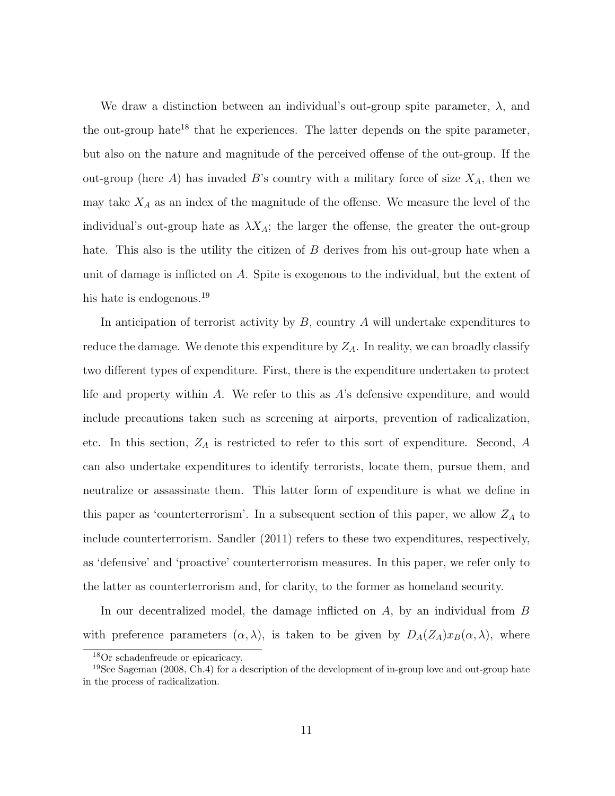We draw a distinction between an individual's out-group spite parameter,  $\lambda$ , and the out-group hate<sup>18</sup> that he experiences. The latter depends on the spite parameter, but also on the nature and magnitude of the perceived offense of the out-group. If the out-group (here  $A$ ) has invaded  $B$ 's country with a military force of size  $X_A$ , then we may take  $X_A$  as an index of the magnitude of the offense. We measure the level of the individual's out-group hate as  $\lambda X_A$ ; the larger the offense, the greater the out-group hate. This also is the utility the citizen of  $B$  derives from his out-group hate when a unit of damage is inflicted on A. Spite is exogenous to the individual, but the extent of his hate is endogenous.<sup>19</sup>

In anticipation of terrorist activity by  $B$ , country  $A$  will undertake expenditures to reduce the damage. We denote this expenditure by  $Z_A$ . In reality, we can broadly classify two different types of expenditure. First, there is the expenditure undertaken to protect life and property within A. We refer to this as  $A$ 's defensive expenditure, and would include precautions taken such as screening at airports, prevention of radicalization, etc. In this section,  $Z_A$  is restricted to refer to this sort of expenditure. Second, A can also undertake expenditures to identify terrorists, locate them, pursue them, and neutralize or assassinate them. This latter form of expenditure is what we define in this paper as 'counterterrorism'. In a subsequent section of this paper, we allow  $Z_A$  to include counterterrorism. Sandler (2011) refers to these two expenditures, respectively, as 'defensive' and 'proactive' counterterrorism measures. In this paper, we refer only to the latter as counterterrorism and, for clarity, to the former as homeland security.

In our decentralized model, the damage inflicted on A, by an individual from B with preference parameters  $(\alpha, \lambda)$ , is taken to be given by  $D_A(Z_A)x_B(\alpha, \lambda)$ , where

<sup>18</sup>Or schadenfreude or epicaricacy.

<sup>&</sup>lt;sup>19</sup>See Sageman (2008, Ch.4) for a description of the development of in-group love and out-group hate in the process of radicalization.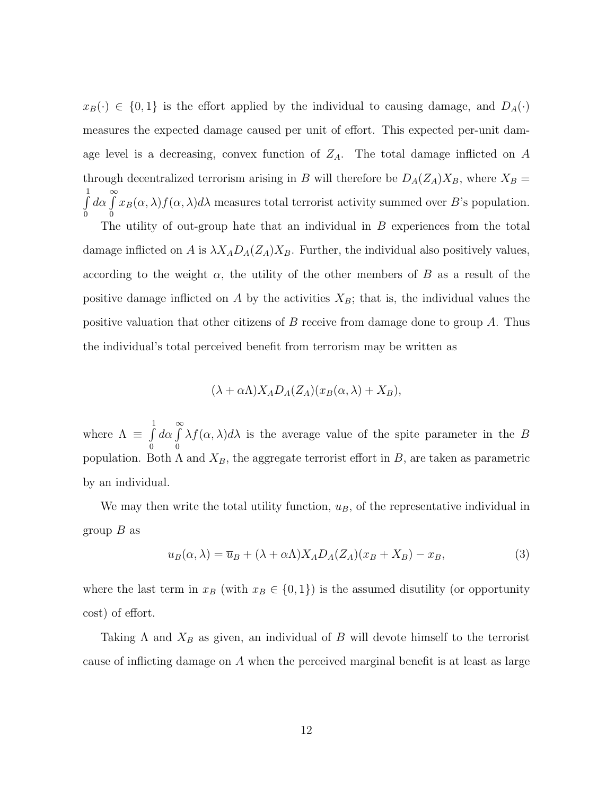$x_B(\cdot) \in \{0,1\}$  is the effort applied by the individual to causing damage, and  $D_A(\cdot)$ measures the expected damage caused per unit of effort. This expected per-unit damage level is a decreasing, convex function of  $Z_A$ . The total damage inflicted on A through decentralized terrorism arising in B will therefore be  $D_A(Z_A)X_B$ , where  $X_B =$  $\int$ 0  $d\alpha \int_0^\infty$ 0  $x_B(\alpha, \lambda) f(\alpha, \lambda) d\lambda$  measures total terrorist activity summed over B's population.

The utility of out-group hate that an individual in  $B$  experiences from the total damage inflicted on A is  $\lambda X_A D_A(Z_A)X_B$ . Further, the individual also positively values, according to the weight  $\alpha$ , the utility of the other members of B as a result of the positive damage inflicted on A by the activities  $X_B$ ; that is, the individual values the positive valuation that other citizens of  $B$  receive from damage done to group  $A$ . Thus the individual's total perceived benefit from terrorism may be written as

$$
(\lambda + \alpha \Lambda) X_A D_A(Z_A)(x_B(\alpha, \lambda) + X_B),
$$

where  $\Lambda \equiv \int\limits_{0}^{1}$ 0  $d\alpha \int_0^\infty$  $\boldsymbol{0}$  $\lambda f(\alpha, \lambda) d\lambda$  is the average value of the spite parameter in the B population. Both  $\Lambda$  and  $X_B$ , the aggregate terrorist effort in B, are taken as parametric by an individual.

We may then write the total utility function,  $u_B$ , of the representative individual in group  $B$  as

$$
u_B(\alpha, \lambda) = \overline{u}_B + (\lambda + \alpha \Lambda) X_A D_A (Z_A)(x_B + X_B) - x_B,
$$
\n(3)

where the last term in  $x_B$  (with  $x_B \in \{0, 1\}$ ) is the assumed disutility (or opportunity cost) of effort.

Taking  $\Lambda$  and  $X_B$  as given, an individual of B will devote himself to the terrorist cause of inflicting damage on A when the perceived marginal benefit is at least as large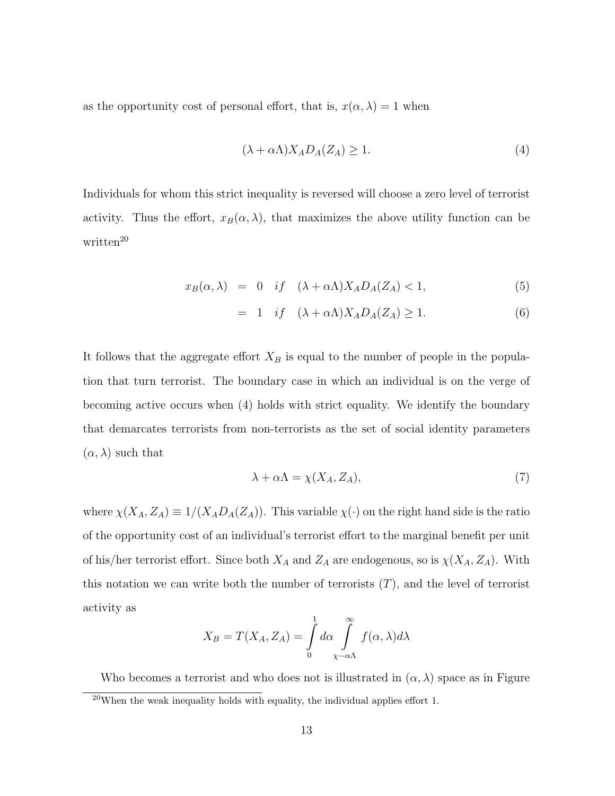as the opportunity cost of personal effort, that is,  $x(\alpha, \lambda) = 1$  when

$$
(\lambda + \alpha \Lambda) X_A D_A(Z_A) \ge 1. \tag{4}
$$

Individuals for whom this strict inequality is reversed will choose a zero level of terrorist activity. Thus the effort,  $x_B(\alpha, \lambda)$ , that maximizes the above utility function can be  $written<sup>20</sup>$ 

$$
x_B(\alpha,\lambda) = 0 \quad \text{if} \quad (\lambda + \alpha \Lambda) X_A D_A(Z_A) < 1,\tag{5}
$$

$$
= 1 \quad if \quad (\lambda + \alpha \Lambda) X_A D_A(Z_A) \ge 1. \tag{6}
$$

It follows that the aggregate effort  $X_B$  is equal to the number of people in the population that turn terrorist. The boundary case in which an individual is on the verge of becoming active occurs when (4) holds with strict equality. We identify the boundary that demarcates terrorists from non-terrorists as the set of social identity parameters  $(\alpha, \lambda)$  such that

$$
\lambda + \alpha \Lambda = \chi(X_A, Z_A),\tag{7}
$$

where  $\chi(X_A, Z_A) \equiv 1/(X_A D_A(Z_A))$ . This variable  $\chi(\cdot)$  on the right hand side is the ratio of the opportunity cost of an individual's terrorist effort to the marginal benefit per unit of his/her terrorist effort. Since both  $X_A$  and  $Z_A$  are endogenous, so is  $\chi(X_A, Z_A)$ . With this notation we can write both the number of terrorists  $(T)$ , and the level of terrorist activity as

$$
X_B = T(X_A, Z_A) = \int\limits_0^1 d\alpha \int\limits_{\chi - \alpha\Lambda}^{\infty} f(\alpha, \lambda) d\lambda
$$

Who becomes a terrorist and who does not is illustrated in  $(\alpha, \lambda)$  space as in Figure  $20$ When the weak inequality holds with equality, the individual applies effort 1.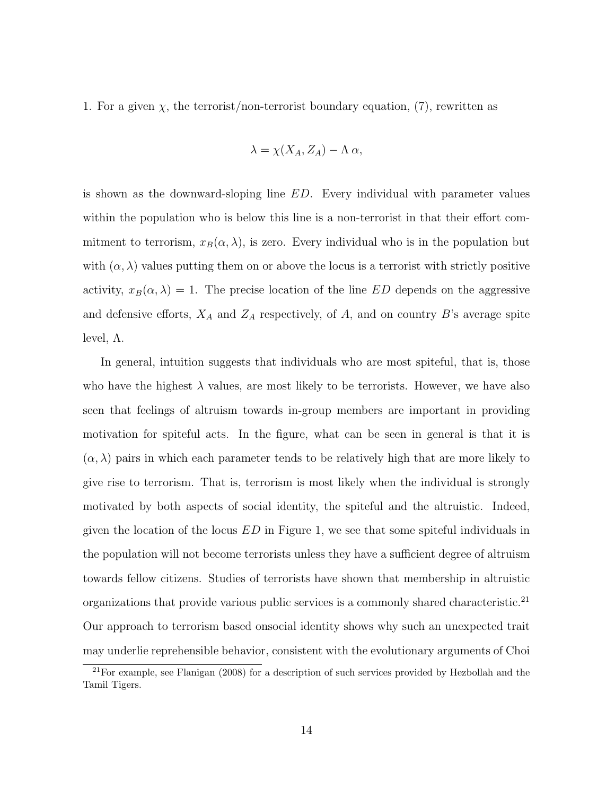1. For a given  $\chi$ , the terrorist/non-terrorist boundary equation, (7), rewritten as

$$
\lambda = \chi(X_A, Z_A) - \Lambda \alpha,
$$

is shown as the downward-sloping line ED. Every individual with parameter values within the population who is below this line is a non-terrorist in that their effort commitment to terrorism,  $x_B(\alpha, \lambda)$ , is zero. Every individual who is in the population but with  $(\alpha, \lambda)$  values putting them on or above the locus is a terrorist with strictly positive activity,  $x_B(\alpha, \lambda) = 1$ . The precise location of the line ED depends on the aggressive and defensive efforts,  $X_A$  and  $Z_A$  respectively, of A, and on country B's average spite level,  $Λ$ .

In general, intuition suggests that individuals who are most spiteful, that is, those who have the highest  $\lambda$  values, are most likely to be terrorists. However, we have also seen that feelings of altruism towards in-group members are important in providing motivation for spiteful acts. In the figure, what can be seen in general is that it is  $(\alpha, \lambda)$  pairs in which each parameter tends to be relatively high that are more likely to give rise to terrorism. That is, terrorism is most likely when the individual is strongly motivated by both aspects of social identity, the spiteful and the altruistic. Indeed, given the location of the locus  $ED$  in Figure 1, we see that some spiteful individuals in the population will not become terrorists unless they have a sufficient degree of altruism towards fellow citizens. Studies of terrorists have shown that membership in altruistic organizations that provide various public services is a commonly shared characteristic.<sup>21</sup> Our approach to terrorism based onsocial identity shows why such an unexpected trait may underlie reprehensible behavior, consistent with the evolutionary arguments of Choi

<sup>21</sup>For example, see Flanigan (2008) for a description of such services provided by Hezbollah and the Tamil Tigers.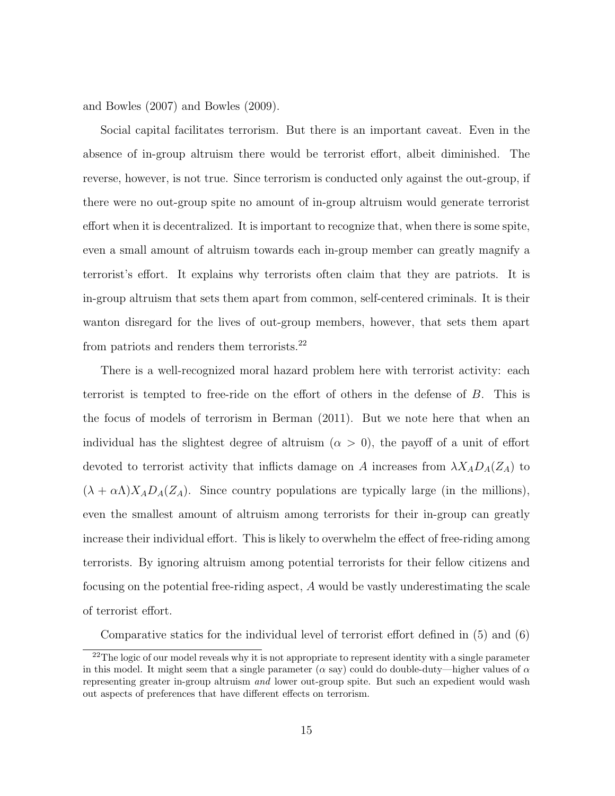and Bowles (2007) and Bowles (2009).

Social capital facilitates terrorism. But there is an important caveat. Even in the absence of in-group altruism there would be terrorist effort, albeit diminished. The reverse, however, is not true. Since terrorism is conducted only against the out-group, if there were no out-group spite no amount of in-group altruism would generate terrorist effort when it is decentralized. It is important to recognize that, when there is some spite, even a small amount of altruism towards each in-group member can greatly magnify a terrorist's effort. It explains why terrorists often claim that they are patriots. It is in-group altruism that sets them apart from common, self-centered criminals. It is their wanton disregard for the lives of out-group members, however, that sets them apart from patriots and renders them terrorists.<sup>22</sup>

There is a well-recognized moral hazard problem here with terrorist activity: each terrorist is tempted to free-ride on the effort of others in the defense of B. This is the focus of models of terrorism in Berman (2011). But we note here that when an individual has the slightest degree of altruism  $(\alpha > 0)$ , the payoff of a unit of effort devoted to terrorist activity that inflicts damage on A increases from  $\lambda X_A D_A(Z_A)$  to  $(\lambda + \alpha \Lambda) X_A D_A(Z_A)$ . Since country populations are typically large (in the millions), even the smallest amount of altruism among terrorists for their in-group can greatly increase their individual effort. This is likely to overwhelm the effect of free-riding among terrorists. By ignoring altruism among potential terrorists for their fellow citizens and focusing on the potential free-riding aspect, A would be vastly underestimating the scale of terrorist effort.

Comparative statics for the individual level of terrorist effort defined in (5) and (6)

<sup>&</sup>lt;sup>22</sup>The logic of our model reveals why it is not appropriate to represent identity with a single parameter in this model. It might seem that a single parameter ( $\alpha$  say) could do double-duty—higher values of  $\alpha$ representing greater in-group altruism and lower out-group spite. But such an expedient would wash out aspects of preferences that have different effects on terrorism.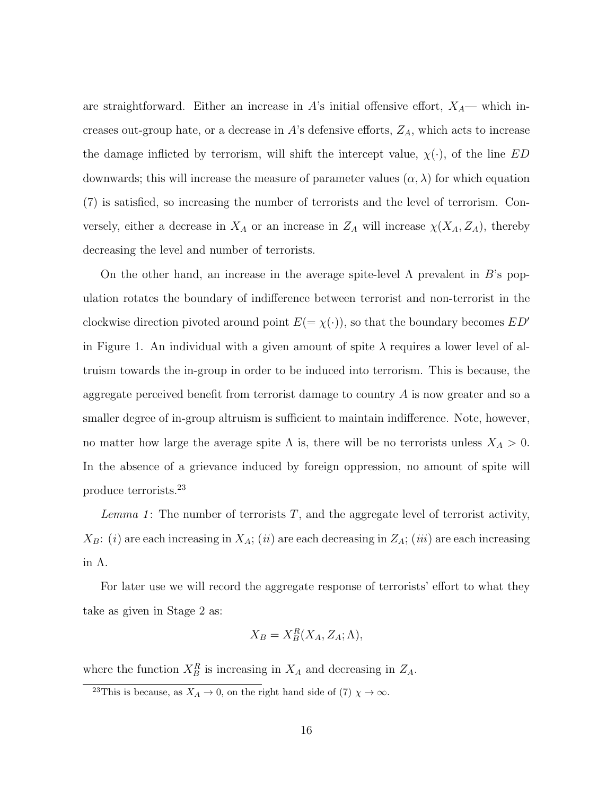are straightforward. Either an increase in A's initial offensive effort,  $X_A$ — which increases out-group hate, or a decrease in  $A$ 's defensive efforts,  $Z_A$ , which acts to increase the damage inflicted by terrorism, will shift the intercept value,  $\chi(\cdot)$ , of the line ED downwards; this will increase the measure of parameter values  $(\alpha, \lambda)$  for which equation (7) is satisfied, so increasing the number of terrorists and the level of terrorism. Conversely, either a decrease in  $X_A$  or an increase in  $Z_A$  will increase  $\chi(X_A, Z_A)$ , thereby decreasing the level and number of terrorists.

On the other hand, an increase in the average spite-level  $\Lambda$  prevalent in B's population rotates the boundary of indifference between terrorist and non-terrorist in the clockwise direction pivoted around point  $E(=\chi(\cdot))$ , so that the boundary becomes  $ED'$ in Figure 1. An individual with a given amount of spite  $\lambda$  requires a lower level of altruism towards the in-group in order to be induced into terrorism. This is because, the aggregate perceived benefit from terrorist damage to country A is now greater and so a smaller degree of in-group altruism is sufficient to maintain indifference. Note, however, no matter how large the average spite  $\Lambda$  is, there will be no terrorists unless  $X_A > 0$ . In the absence of a grievance induced by foreign oppression, no amount of spite will produce terrorists.<sup>23</sup>

Lemma 1: The number of terrorists  $T$ , and the aggregate level of terrorist activity,  $X_B$ : (i) are each increasing in  $X_A$ ; (ii) are each decreasing in  $Z_A$ ; (iii) are each increasing in Λ.

For later use we will record the aggregate response of terrorists' effort to what they take as given in Stage 2 as:

$$
X_B = X_B^R(X_A, Z_A; \Lambda),
$$

where the function  $X_B^R$  is increasing in  $X_A$  and decreasing in  $Z_A$ .

<sup>&</sup>lt;sup>23</sup>This is because, as  $X_A \to 0$ , on the right hand side of (7)  $\chi \to \infty$ .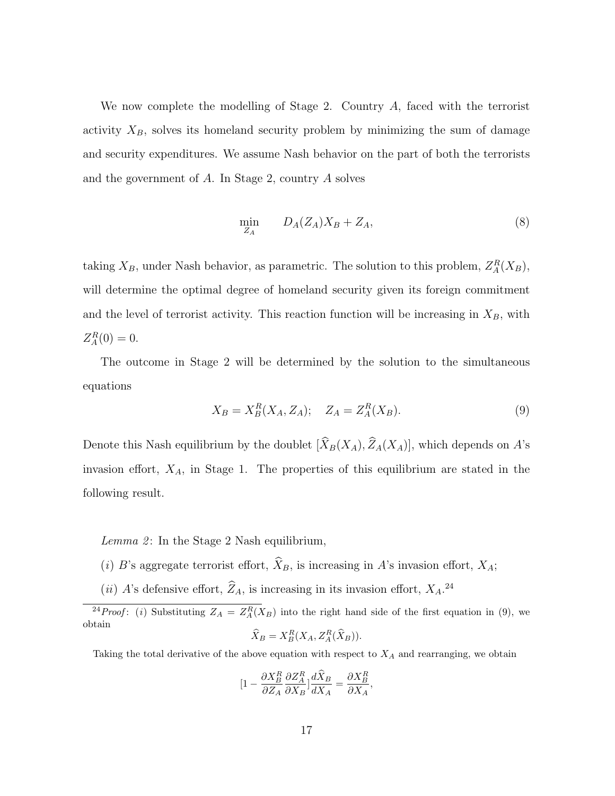We now complete the modelling of Stage 2. Country A, faced with the terrorist activity  $X_B$ , solves its homeland security problem by minimizing the sum of damage and security expenditures. We assume Nash behavior on the part of both the terrorists and the government of A. In Stage 2, country A solves

$$
\min_{Z_A} \qquad D_A(Z_A)X_B + Z_A,\tag{8}
$$

taking  $X_B$ , under Nash behavior, as parametric. The solution to this problem,  $Z_A^R(X_B)$ , will determine the optimal degree of homeland security given its foreign commitment and the level of terrorist activity. This reaction function will be increasing in  $X_B$ , with  $Z_A^R(0) = 0.$ 

The outcome in Stage 2 will be determined by the solution to the simultaneous equations

$$
X_B = X_B^R(X_A, Z_A); \quad Z_A = Z_A^R(X_B). \tag{9}
$$

Denote this Nash equilibrium by the doublet  $[\widehat{X}_B(X_A), \widehat{Z}_A(X_A)]$ , which depends on A's invasion effort,  $X_A$ , in Stage 1. The properties of this equilibrium are stated in the following result.

Lemma 2: In the Stage 2 Nash equilibrium,

- (i) B's aggregate terrorist effort,  $\widehat{X}_B$ , is increasing in A's invasion effort,  $X_A$ ;
- (*ii*) A's defensive effort,  $Z_A$ , is increasing in its invasion effort,  $X_A$ .<sup>24</sup>

$$
\widehat{X}_B = X_B^R(X_A, Z_A^R(\widehat{X}_B)).
$$

Taking the total derivative of the above equation with respect to  $X_A$  and rearranging, we obtain

$$
[1 - \frac{\partial X_B^R}{\partial Z_A} \frac{\partial Z_A^R}{\partial X_B}] \frac{d\widehat{X}_B}{dX_A} = \frac{\partial X_B^R}{\partial X_A},
$$

<sup>&</sup>lt;sup>24</sup> Proof: (i) Substituting  $Z_A = Z_A^R(X_B)$  into the right hand side of the first equation in (9), we obtain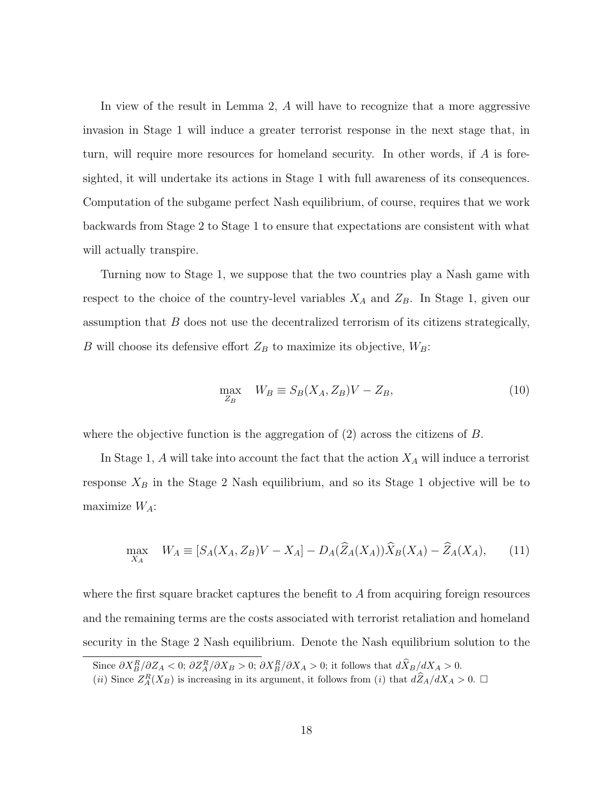In view of the result in Lemma 2, A will have to recognize that a more aggressive invasion in Stage 1 will induce a greater terrorist response in the next stage that, in turn, will require more resources for homeland security. In other words, if A is foresighted, it will undertake its actions in Stage 1 with full awareness of its consequences. Computation of the subgame perfect Nash equilibrium, of course, requires that we work backwards from Stage 2 to Stage 1 to ensure that expectations are consistent with what will actually transpire.

Turning now to Stage 1, we suppose that the two countries play a Nash game with respect to the choice of the country-level variables  $X_A$  and  $Z_B$ . In Stage 1, given our assumption that B does not use the decentralized terrorism of its citizens strategically, B will choose its defensive effort  $Z_B$  to maximize its objective,  $W_B$ :

$$
\max_{Z_B} \quad W_B \equiv S_B(X_A, Z_B)V - Z_B,\tag{10}
$$

where the objective function is the aggregation of  $(2)$  across the citizens of B.

In Stage 1,  $A$  will take into account the fact that the action  $X_A$  will induce a terrorist response  $X_B$  in the Stage 2 Nash equilibrium, and so its Stage 1 objective will be to maximize  $W_A$ :

$$
\max_{X_A} \quad W_A \equiv [S_A(X_A, Z_B)V - X_A] - D_A(\widehat{Z}_A(X_A))\widehat{X}_B(X_A) - \widehat{Z}_A(X_A), \tag{11}
$$

where the first square bracket captures the benefit to  $A$  from acquiring foreign resources and the remaining terms are the costs associated with terrorist retaliation and homeland security in the Stage 2 Nash equilibrium. Denote the Nash equilibrium solution to the

Since  $\partial X_B^R/\partial Z_A < 0$ ;  $\partial Z_A^R/\partial X_B > 0$ ;  $\partial X_B^R/\partial X_A > 0$ ; it follows that  $\partial \hat{X}_B/\partial X_A > 0$ .

<sup>(</sup>*ii*) Since  $Z_A^R(X_B)$  is increasing in its argument, it follows from (*i*) that  $d\hat{Z}_A/dX_A > 0$ .  $\Box$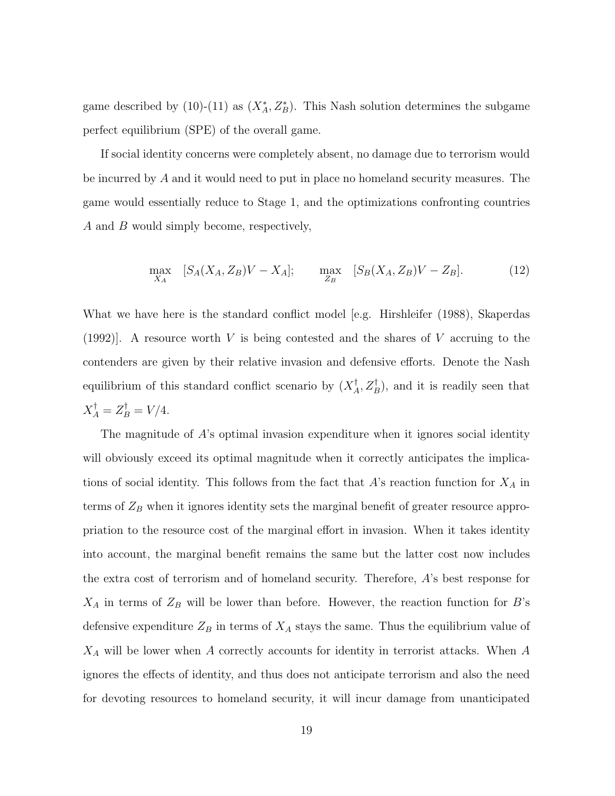game described by (10)-(11) as  $(X_A^*, Z_B^*)$ . This Nash solution determines the subgame perfect equilibrium (SPE) of the overall game.

If social identity concerns were completely absent, no damage due to terrorism would be incurred by A and it would need to put in place no homeland security measures. The game would essentially reduce to Stage 1, and the optimizations confronting countries A and B would simply become, respectively,

$$
\max_{X_A} \quad [S_A(X_A, Z_B)V - X_A]; \qquad \max_{Z_B} \quad [S_B(X_A, Z_B)V - Z_B]. \tag{12}
$$

What we have here is the standard conflict model [e.g. Hirshleifer (1988), Skaperdas  $(1992)$ . A resource worth V is being contested and the shares of V accruing to the contenders are given by their relative invasion and defensive efforts. Denote the Nash equilibrium of this standard conflict scenario by  $(X_A^{\dagger})$  $A^{\dagger}_{A}, Z_{B}^{\dagger}$ , and it is readily seen that  $X_A^{\dagger} = Z_B^{\dagger} = V/4.$ 

The magnitude of A's optimal invasion expenditure when it ignores social identity will obviously exceed its optimal magnitude when it correctly anticipates the implications of social identity. This follows from the fact that  $A$ 's reaction function for  $X_A$  in terms of  $Z_B$  when it ignores identity sets the marginal benefit of greater resource appropriation to the resource cost of the marginal effort in invasion. When it takes identity into account, the marginal benefit remains the same but the latter cost now includes the extra cost of terrorism and of homeland security. Therefore, A's best response for  $X_A$  in terms of  $Z_B$  will be lower than before. However, the reaction function for B's defensive expenditure  $Z_B$  in terms of  $X_A$  stays the same. Thus the equilibrium value of  $X_A$  will be lower when A correctly accounts for identity in terrorist attacks. When A ignores the effects of identity, and thus does not anticipate terrorism and also the need for devoting resources to homeland security, it will incur damage from unanticipated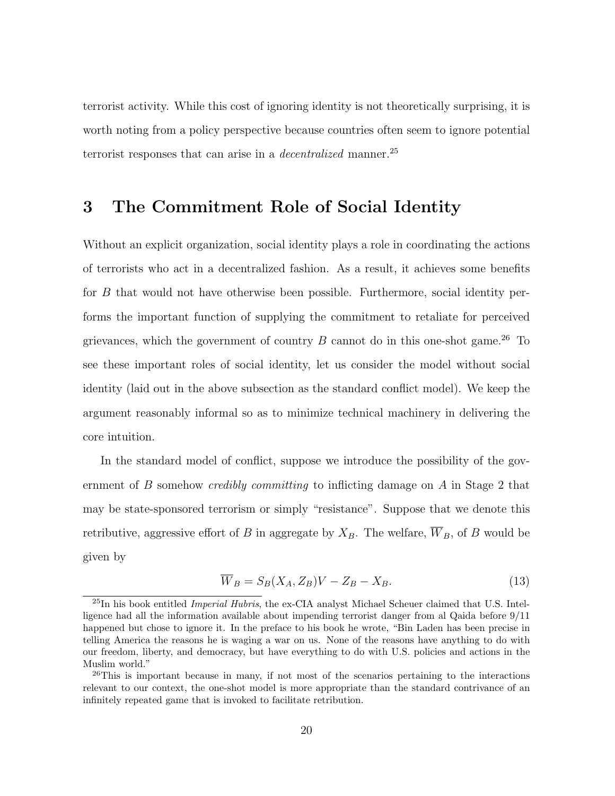terrorist activity. While this cost of ignoring identity is not theoretically surprising, it is worth noting from a policy perspective because countries often seem to ignore potential terrorist responses that can arise in a *decentralized* manner.<sup>25</sup>

### 3 The Commitment Role of Social Identity

Without an explicit organization, social identity plays a role in coordinating the actions of terrorists who act in a decentralized fashion. As a result, it achieves some benefits for B that would not have otherwise been possible. Furthermore, social identity performs the important function of supplying the commitment to retaliate for perceived grievances, which the government of country  $B$  cannot do in this one-shot game.<sup>26</sup> To see these important roles of social identity, let us consider the model without social identity (laid out in the above subsection as the standard conflict model). We keep the argument reasonably informal so as to minimize technical machinery in delivering the core intuition.

In the standard model of conflict, suppose we introduce the possibility of the government of B somehow *credibly committing* to inflicting damage on A in Stage 2 that may be state-sponsored terrorism or simply "resistance". Suppose that we denote this retributive, aggressive effort of B in aggregate by  $X_B$ . The welfare,  $\overline{W}_B$ , of B would be given by

$$
\overline{W}_B = S_B(X_A, Z_B)V - Z_B - X_B. \tag{13}
$$

 $^{25}$ In his book entitled *Imperial Hubris*, the ex-CIA analyst Michael Scheuer claimed that U.S. Intelligence had all the information available about impending terrorist danger from al Qaida before 9/11 happened but chose to ignore it. In the preface to his book he wrote, "Bin Laden has been precise in telling America the reasons he is waging a war on us. None of the reasons have anything to do with our freedom, liberty, and democracy, but have everything to do with U.S. policies and actions in the Muslim world."

<sup>&</sup>lt;sup>26</sup>This is important because in many, if not most of the scenarios pertaining to the interactions relevant to our context, the one-shot model is more appropriate than the standard contrivance of an infinitely repeated game that is invoked to facilitate retribution.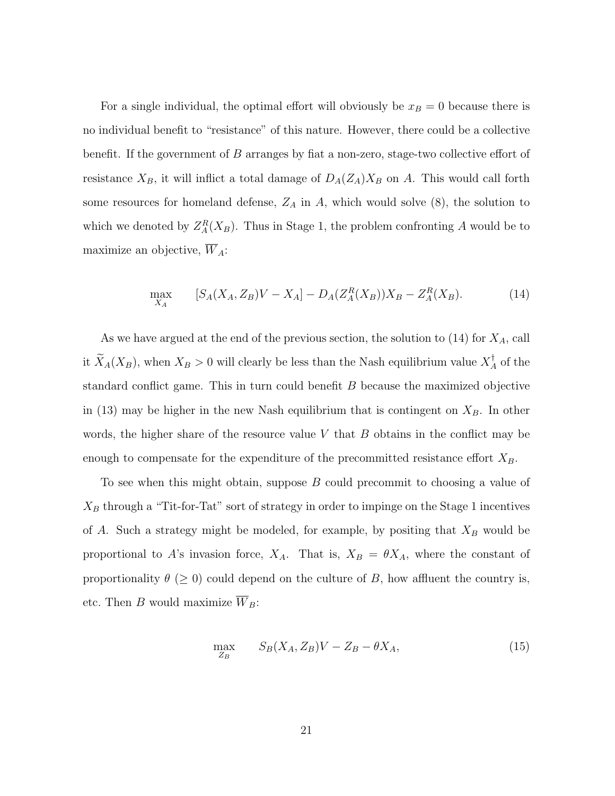For a single individual, the optimal effort will obviously be  $x_B = 0$  because there is no individual benefit to "resistance" of this nature. However, there could be a collective benefit. If the government of B arranges by fiat a non-zero, stage-two collective effort of resistance  $X_B$ , it will inflict a total damage of  $D_A(Z_A)X_B$  on A. This would call forth some resources for homeland defense,  $Z_A$  in A, which would solve  $(8)$ , the solution to which we denoted by  $Z_A^R(X_B)$ . Thus in Stage 1, the problem confronting A would be to maximize an objective,  $\overline{W}_A$ :

$$
\max_{X_A} \qquad [S_A(X_A, Z_B)V - X_A] - D_A(Z_A^R(X_B))X_B - Z_A^R(X_B). \tag{14}
$$

As we have argued at the end of the previous section, the solution to  $(14)$  for  $X_A$ , call it  $\widetilde{X}_A(X_B)$ , when  $X_B > 0$  will clearly be less than the Nash equilibrium value  $X_A^\dagger$  $A^{\dagger}$  of the standard conflict game. This in turn could benefit B because the maximized objective in (13) may be higher in the new Nash equilibrium that is contingent on  $X_B$ . In other words, the higher share of the resource value  $V$  that  $B$  obtains in the conflict may be enough to compensate for the expenditure of the precommitted resistance effort  $X_B$ .

To see when this might obtain, suppose B could precommit to choosing a value of  $X_B$  through a "Tit-for-Tat" sort of strategy in order to impinge on the Stage 1 incentives of A. Such a strategy might be modeled, for example, by positing that  $X_B$  would be proportional to A's invasion force,  $X_A$ . That is,  $X_B = \theta X_A$ , where the constant of proportionality  $\theta$  ( $\geq$  0) could depend on the culture of B, how affluent the country is, etc. Then B would maximize  $\overline{W}_B$ :

$$
\max_{Z_B} \qquad S_B(X_A, Z_B)V - Z_B - \theta X_A,\tag{15}
$$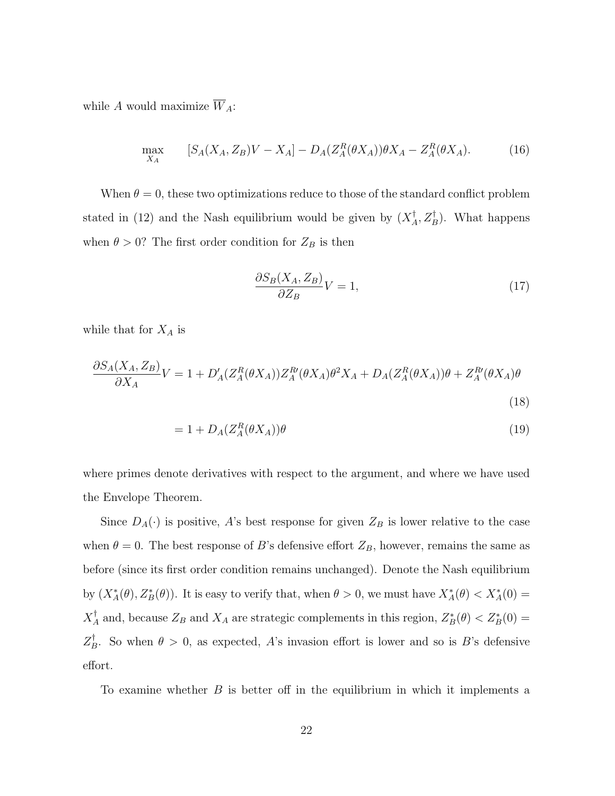while  $A$  would maximize  $\overline{W}_A$ :

$$
\max_{X_A} \qquad [S_A(X_A, Z_B)V - X_A] - D_A(Z_A^R(\theta X_A))\theta X_A - Z_A^R(\theta X_A). \tag{16}
$$

When  $\theta = 0$ , these two optimizations reduce to those of the standard conflict problem stated in (12) and the Nash equilibrium would be given by  $(X_A^{\dagger})$  $\bigcup_A^{\dagger}, Z_B^{\dagger}$ . What happens when  $\theta > 0$ ? The first order condition for  $Z_B$  is then

$$
\frac{\partial S_B(X_A, Z_B)}{\partial Z_B} V = 1,\tag{17}
$$

while that for  $X_A$  is

$$
\frac{\partial S_A(X_A, Z_B)}{\partial X_A} V = 1 + D'_A(Z_A^R(\theta X_A))Z_A^R(\theta X_A)\theta^2 X_A + D_A(Z_A^R(\theta X_A))\theta + Z_A^R(\theta X_A)\theta
$$
\n(18)

$$
= 1 + D_A(Z_A^R(\theta X_A))\theta \tag{19}
$$

where primes denote derivatives with respect to the argument, and where we have used the Envelope Theorem.

Since  $D_A(\cdot)$  is positive, A's best response for given  $Z_B$  is lower relative to the case when  $\theta = 0$ . The best response of B's defensive effort  $Z_B$ , however, remains the same as before (since its first order condition remains unchanged). Denote the Nash equilibrium by  $(X_A^*(\theta), Z_B^*(\theta))$ . It is easy to verify that, when  $\theta > 0$ , we must have  $X_A^*(\theta) < X_A^*(0)$  =  $X_A^\dagger$ <sup>†</sup><sub>A</sub> and, because  $Z_B$  and  $X_A$  are strategic complements in this region,  $Z_B^*(\theta) < Z_B^*(0)$  =  $Z_F^\dagger$  $B<sub>B</sub>$ . So when  $\theta > 0$ , as expected, A's invasion effort is lower and so is B's defensive effort.

To examine whether  $B$  is better off in the equilibrium in which it implements a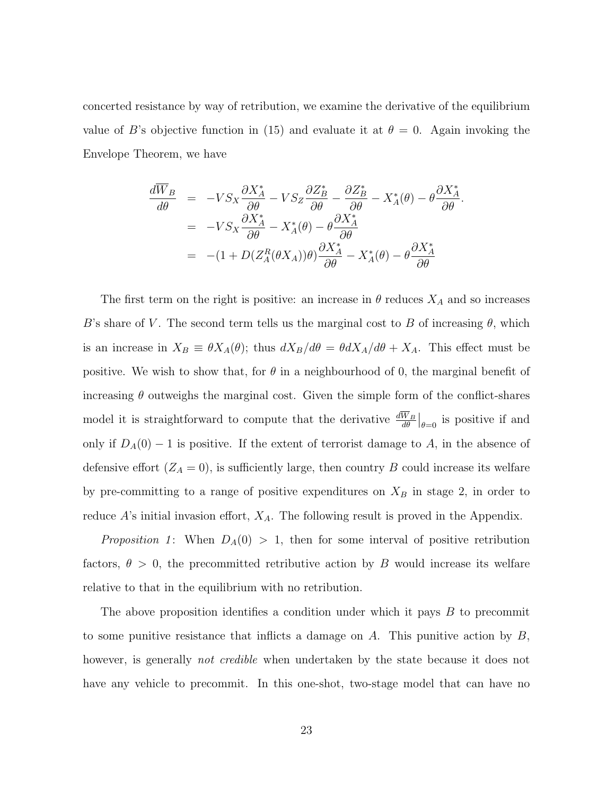concerted resistance by way of retribution, we examine the derivative of the equilibrium value of B's objective function in (15) and evaluate it at  $\theta = 0$ . Again invoking the Envelope Theorem, we have

$$
\frac{d\overline{W}_B}{d\theta} = -VS_X \frac{\partial X_A^*}{\partial \theta} - VS_Z \frac{\partial Z_B^*}{\partial \theta} - \frac{\partial Z_B^*}{\partial \theta} - X_A^*(\theta) - \theta \frac{\partial X_A^*}{\partial \theta} \n= -VS_X \frac{\partial X_A^*}{\partial \theta} - X_A^*(\theta) - \theta \frac{\partial X_A^*}{\partial \theta} \n= -(1 + D(Z_A^R(\theta X_A))\theta) \frac{\partial X_A^*}{\partial \theta} - X_A^*(\theta) - \theta \frac{\partial X_A^*}{\partial \theta}
$$

The first term on the right is positive: an increase in  $\theta$  reduces  $X_A$  and so increases B's share of V. The second term tells us the marginal cost to B of increasing  $\theta$ , which is an increase in  $X_B \equiv \theta X_A(\theta)$ ; thus  $dX_B/d\theta = \theta dX_A/d\theta + X_A$ . This effect must be positive. We wish to show that, for  $\theta$  in a neighbourhood of 0, the marginal benefit of increasing  $\theta$  outweighs the marginal cost. Given the simple form of the conflict-shares model it is straightforward to compute that the derivative  $\frac{dW_B}{d\theta}\Big|_{\theta=0}$  is positive if and only if  $D_A(0) - 1$  is positive. If the extent of terrorist damage to A, in the absence of defensive effort  $(Z_A = 0)$ , is sufficiently large, then country B could increase its welfare by pre-committing to a range of positive expenditures on  $X_B$  in stage 2, in order to reduce  $A$ 's initial invasion effort,  $X_A$ . The following result is proved in the Appendix.

Proposition 1: When  $D_A(0) > 1$ , then for some interval of positive retribution factors,  $\theta > 0$ , the precommitted retributive action by B would increase its welfare relative to that in the equilibrium with no retribution.

The above proposition identifies a condition under which it pays B to precommit to some punitive resistance that inflicts a damage on  $A$ . This punitive action by  $B$ , however, is generally *not credible* when undertaken by the state because it does not have any vehicle to precommit. In this one-shot, two-stage model that can have no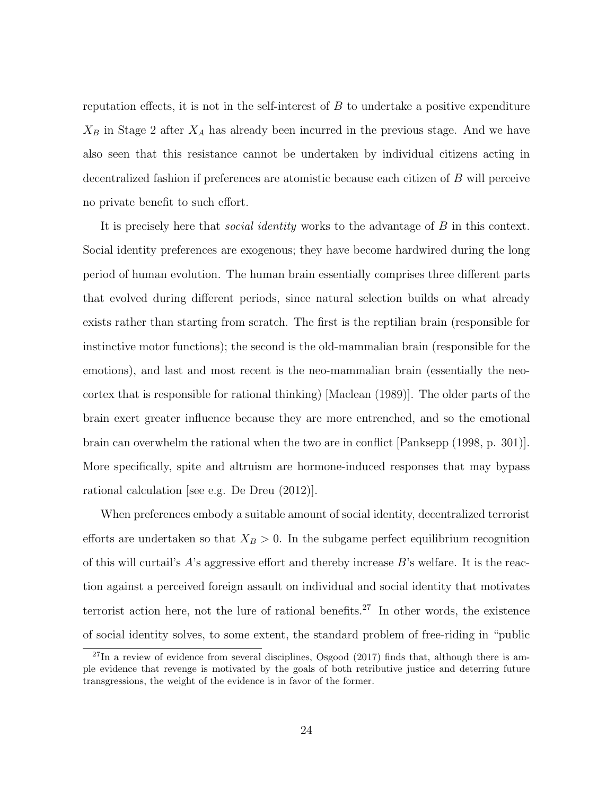reputation effects, it is not in the self-interest of  $B$  to undertake a positive expenditure  $X_B$  in Stage 2 after  $X_A$  has already been incurred in the previous stage. And we have also seen that this resistance cannot be undertaken by individual citizens acting in decentralized fashion if preferences are atomistic because each citizen of B will perceive no private benefit to such effort.

It is precisely here that *social identity* works to the advantage of B in this context. Social identity preferences are exogenous; they have become hardwired during the long period of human evolution. The human brain essentially comprises three different parts that evolved during different periods, since natural selection builds on what already exists rather than starting from scratch. The first is the reptilian brain (responsible for instinctive motor functions); the second is the old-mammalian brain (responsible for the emotions), and last and most recent is the neo-mammalian brain (essentially the neocortex that is responsible for rational thinking) [Maclean (1989)]. The older parts of the brain exert greater influence because they are more entrenched, and so the emotional brain can overwhelm the rational when the two are in conflict [Panksepp (1998, p. 301)]. More specifically, spite and altruism are hormone-induced responses that may bypass rational calculation [see e.g. De Dreu (2012)].

When preferences embody a suitable amount of social identity, decentralized terrorist efforts are undertaken so that  $X_B > 0$ . In the subgame perfect equilibrium recognition of this will curtail's  $A$ 's aggressive effort and thereby increase  $B$ 's welfare. It is the reaction against a perceived foreign assault on individual and social identity that motivates terrorist action here, not the lure of rational benefits.<sup>27</sup> In other words, the existence of social identity solves, to some extent, the standard problem of free-riding in "public

 $^{27}$ In a review of evidence from several disciplines, Osgood (2017) finds that, although there is ample evidence that revenge is motivated by the goals of both retributive justice and deterring future transgressions, the weight of the evidence is in favor of the former.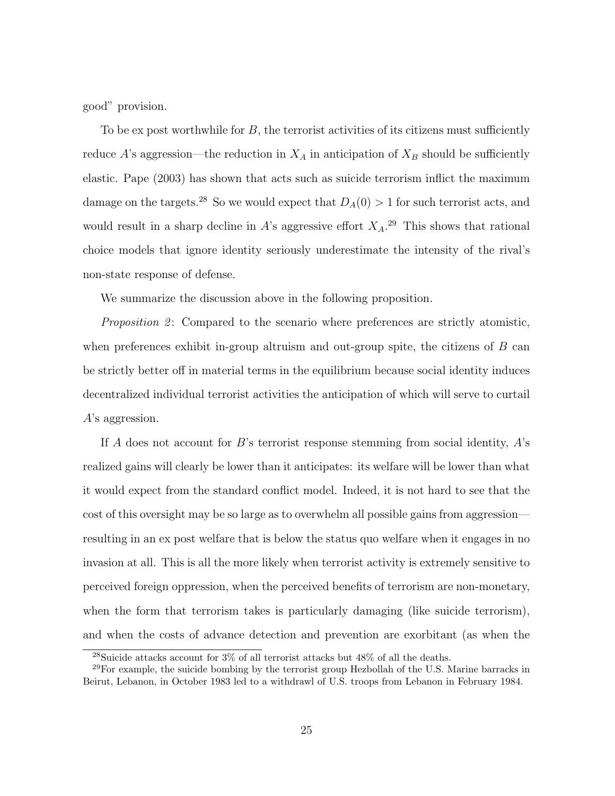good" provision.

To be ex post worthwhile for  $B$ , the terrorist activities of its citizens must sufficiently reduce A's aggression—the reduction in  $X_A$  in anticipation of  $X_B$  should be sufficiently elastic. Pape (2003) has shown that acts such as suicide terrorism inflict the maximum damage on the targets.<sup>28</sup> So we would expect that  $D_A(0) > 1$  for such terrorist acts, and would result in a sharp decline in A's aggressive effort  $X_A$ <sup>29</sup>. This shows that rational choice models that ignore identity seriously underestimate the intensity of the rival's non-state response of defense.

We summarize the discussion above in the following proposition.

*Proposition 2*: Compared to the scenario where preferences are strictly atomistic, when preferences exhibit in-group altruism and out-group spite, the citizens of  $B$  can be strictly better off in material terms in the equilibrium because social identity induces decentralized individual terrorist activities the anticipation of which will serve to curtail A's aggression.

If A does not account for B's terrorist response stemming from social identity,  $A$ 's realized gains will clearly be lower than it anticipates: its welfare will be lower than what it would expect from the standard conflict model. Indeed, it is not hard to see that the cost of this oversight may be so large as to overwhelm all possible gains from aggression resulting in an ex post welfare that is below the status quo welfare when it engages in no invasion at all. This is all the more likely when terrorist activity is extremely sensitive to perceived foreign oppression, when the perceived benefits of terrorism are non-monetary, when the form that terrorism takes is particularly damaging (like suicide terrorism), and when the costs of advance detection and prevention are exorbitant (as when the

 $^{28}{\rm{Suicide}}$  attacks account for  $3\%$  of all terrorist attacks but  $48\%$  of all the deaths.

 $29$ For example, the suicide bombing by the terrorist group Hezbollah of the U.S. Marine barracks in Beirut, Lebanon, in October 1983 led to a withdrawl of U.S. troops from Lebanon in February 1984.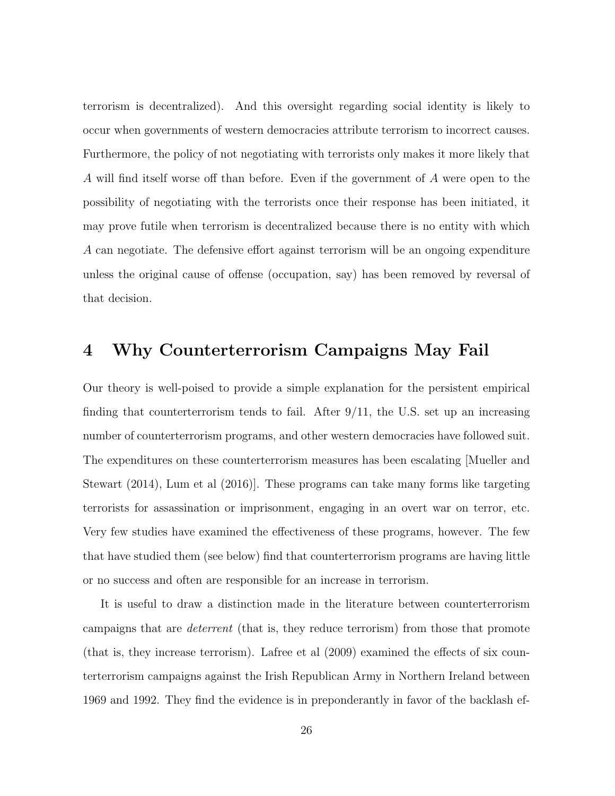terrorism is decentralized). And this oversight regarding social identity is likely to occur when governments of western democracies attribute terrorism to incorrect causes. Furthermore, the policy of not negotiating with terrorists only makes it more likely that A will find itself worse off than before. Even if the government of A were open to the possibility of negotiating with the terrorists once their response has been initiated, it may prove futile when terrorism is decentralized because there is no entity with which A can negotiate. The defensive effort against terrorism will be an ongoing expenditure unless the original cause of offense (occupation, say) has been removed by reversal of that decision.

### 4 Why Counterterrorism Campaigns May Fail

Our theory is well-poised to provide a simple explanation for the persistent empirical finding that counterterrorism tends to fail. After  $9/11$ , the U.S. set up an increasing number of counterterrorism programs, and other western democracies have followed suit. The expenditures on these counterterrorism measures has been escalating [Mueller and Stewart (2014), Lum et al (2016)]. These programs can take many forms like targeting terrorists for assassination or imprisonment, engaging in an overt war on terror, etc. Very few studies have examined the effectiveness of these programs, however. The few that have studied them (see below) find that counterterrorism programs are having little or no success and often are responsible for an increase in terrorism.

It is useful to draw a distinction made in the literature between counterterrorism campaigns that are deterrent (that is, they reduce terrorism) from those that promote (that is, they increase terrorism). Lafree et al (2009) examined the effects of six counterterrorism campaigns against the Irish Republican Army in Northern Ireland between 1969 and 1992. They find the evidence is in preponderantly in favor of the backlash ef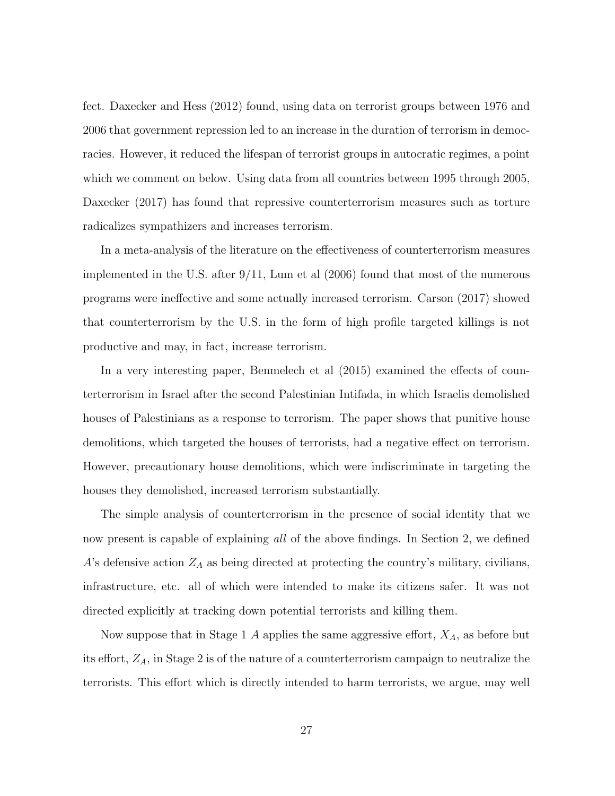fect. Daxecker and Hess (2012) found, using data on terrorist groups between 1976 and 2006 that government repression led to an increase in the duration of terrorism in democracies. However, it reduced the lifespan of terrorist groups in autocratic regimes, a point which we comment on below. Using data from all countries between 1995 through 2005, Daxecker (2017) has found that repressive counterterrorism measures such as torture radicalizes sympathizers and increases terrorism.

In a meta-analysis of the literature on the effectiveness of counterterrorism measures implemented in the U.S. after 9/11, Lum et al (2006) found that most of the numerous programs were ineffective and some actually increased terrorism. Carson (2017) showed that counterterrorism by the U.S. in the form of high profile targeted killings is not productive and may, in fact, increase terrorism.

In a very interesting paper, Benmelech et al (2015) examined the effects of counterterrorism in Israel after the second Palestinian Intifada, in which Israelis demolished houses of Palestinians as a response to terrorism. The paper shows that punitive house demolitions, which targeted the houses of terrorists, had a negative effect on terrorism. However, precautionary house demolitions, which were indiscriminate in targeting the houses they demolished, increased terrorism substantially.

The simple analysis of counterterrorism in the presence of social identity that we now present is capable of explaining *all* of the above findings. In Section 2, we defined A's defensive action  $Z_A$  as being directed at protecting the country's military, civilians, infrastructure, etc. all of which were intended to make its citizens safer. It was not directed explicitly at tracking down potential terrorists and killing them.

Now suppose that in Stage 1 A applies the same aggressive effort,  $X_A$ , as before but its effort,  $Z_A$ , in Stage 2 is of the nature of a counterterrorism campaign to neutralize the terrorists. This effort which is directly intended to harm terrorists, we argue, may well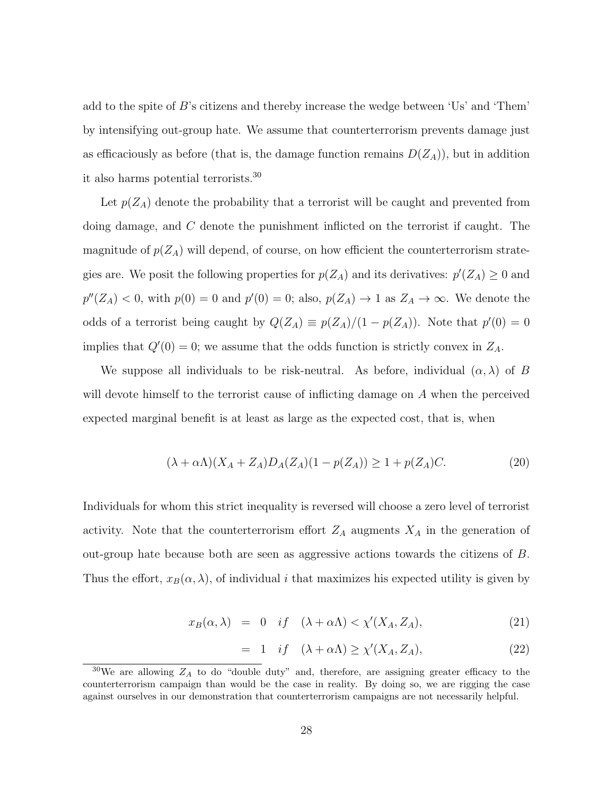add to the spite of B's citizens and thereby increase the wedge between 'Us' and 'Them' by intensifying out-group hate. We assume that counterterrorism prevents damage just as efficaciously as before (that is, the damage function remains  $D(Z_A)$ ), but in addition it also harms potential terrorists.<sup>30</sup>

Let  $p(Z_A)$  denote the probability that a terrorist will be caught and prevented from doing damage, and C denote the punishment inflicted on the terrorist if caught. The magnitude of  $p(Z_A)$  will depend, of course, on how efficient the counterterrorism strategies are. We posit the following properties for  $p(Z_A)$  and its derivatives:  $p'(Z_A) \geq 0$  and  $p''(Z_A) < 0$ , with  $p(0) = 0$  and  $p'(0) = 0$ ; also,  $p(Z_A) \to 1$  as  $Z_A \to \infty$ . We denote the odds of a terrorist being caught by  $Q(Z_A) \equiv p(Z_A)/(1 - p(Z_A))$ . Note that  $p'(0) = 0$ implies that  $Q'(0) = 0$ ; we assume that the odds function is strictly convex in  $Z_A$ .

We suppose all individuals to be risk-neutral. As before, individual  $(\alpha, \lambda)$  of B will devote himself to the terrorist cause of inflicting damage on A when the perceived expected marginal benefit is at least as large as the expected cost, that is, when

$$
(\lambda + \alpha \Lambda)(X_A + Z_A)D_A(Z_A)(1 - p(Z_A)) \ge 1 + p(Z_A)C.
$$
 (20)

Individuals for whom this strict inequality is reversed will choose a zero level of terrorist activity. Note that the counterterrorism effort  $Z_A$  augments  $X_A$  in the generation of out-group hate because both are seen as aggressive actions towards the citizens of B. Thus the effort,  $x_B(\alpha, \lambda)$ , of individual i that maximizes his expected utility is given by

$$
x_B(\alpha, \lambda) = 0 \quad \text{if} \quad (\lambda + \alpha \Lambda) < \chi'(X_A, Z_A), \tag{21}
$$

$$
= 1 \quad if \quad (\lambda + \alpha \Lambda) \ge \chi'(X_A, Z_A), \tag{22}
$$

 $30\,\text{We}$  are allowing  $Z_A$  to do "double duty" and, therefore, are assigning greater efficacy to the counterterrorism campaign than would be the case in reality. By doing so, we are rigging the case against ourselves in our demonstration that counterterrorism campaigns are not necessarily helpful.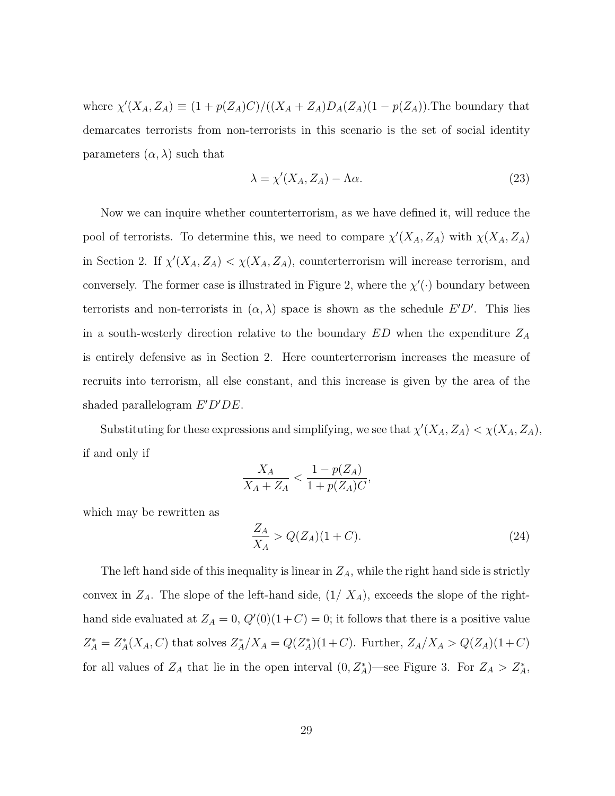where  $\chi'(X_A, Z_A) \equiv (1 + p(Z_A)C)/((X_A + Z_A)D_A(Z_A)(1 - p(Z_A))$ . The boundary that demarcates terrorists from non-terrorists in this scenario is the set of social identity parameters  $(\alpha, \lambda)$  such that

$$
\lambda = \chi'(X_A, Z_A) - \Lambda \alpha. \tag{23}
$$

Now we can inquire whether counterterrorism, as we have defined it, will reduce the pool of terrorists. To determine this, we need to compare  $\chi'(X_A, Z_A)$  with  $\chi(X_A, Z_A)$ in Section 2. If  $\chi'(X_A, Z_A) < \chi(X_A, Z_A)$ , counterterrorism will increase terrorism, and conversely. The former case is illustrated in Figure 2, where the  $\chi'(\cdot)$  boundary between terrorists and non-terrorists in  $(\alpha, \lambda)$  space is shown as the schedule  $E'D'$ . This lies in a south-westerly direction relative to the boundary  $ED$  when the expenditure  $Z_A$ is entirely defensive as in Section 2. Here counterterrorism increases the measure of recruits into terrorism, all else constant, and this increase is given by the area of the shaded parallelogram  $E'D'DE$ .

Substituting for these expressions and simplifying, we see that  $\chi'(X_A, Z_A) < \chi(X_A, Z_A)$ , if and only if

$$
\frac{X_A}{X_A + Z_A} < \frac{1 - p(Z_A)}{1 + p(Z_A)C},
$$

which may be rewritten as

$$
\frac{Z_A}{X_A} > Q(Z_A)(1+C). \tag{24}
$$

The left hand side of this inequality is linear in  $Z_A$ , while the right hand side is strictly convex in  $Z_A$ . The slope of the left-hand side,  $(1 / X_A)$ , exceeds the slope of the righthand side evaluated at  $Z_A = 0$ ,  $Q'(0)(1+C) = 0$ ; it follows that there is a positive value  $Z_A^* = Z_A^*(X_A, C)$  that solves  $Z_A^*/X_A = Q(Z_A^*)(1+C)$ . Further,  $Z_A/X_A > Q(Z_A)(1+C)$ for all values of  $Z_A$  that lie in the open interval  $(0, Z_A^*)$ —see Figure 3. For  $Z_A > Z_A^*$ ,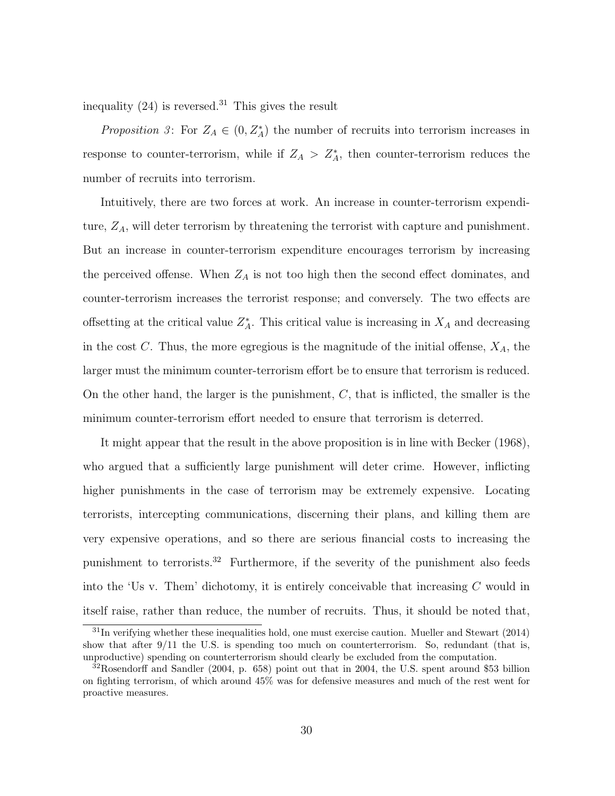inequality  $(24)$  is reversed.<sup>31</sup> This gives the result

*Proposition* 3: For  $Z_A \in (0, Z_A^*)$  the number of recruits into terrorism increases in response to counter-terrorism, while if  $Z_A > Z_A^*$ , then counter-terrorism reduces the number of recruits into terrorism.

Intuitively, there are two forces at work. An increase in counter-terrorism expenditure,  $Z_A$ , will deter terrorism by threatening the terrorist with capture and punishment. But an increase in counter-terrorism expenditure encourages terrorism by increasing the perceived offense. When  $Z_A$  is not too high then the second effect dominates, and counter-terrorism increases the terrorist response; and conversely. The two effects are offsetting at the critical value  $Z_A^*$ . This critical value is increasing in  $X_A$  and decreasing in the cost C. Thus, the more egregious is the magnitude of the initial offense,  $X_A$ , the larger must the minimum counter-terrorism effort be to ensure that terrorism is reduced. On the other hand, the larger is the punishment,  $C$ , that is inflicted, the smaller is the minimum counter-terrorism effort needed to ensure that terrorism is deterred.

It might appear that the result in the above proposition is in line with Becker (1968), who argued that a sufficiently large punishment will deter crime. However, inflicting higher punishments in the case of terrorism may be extremely expensive. Locating terrorists, intercepting communications, discerning their plans, and killing them are very expensive operations, and so there are serious financial costs to increasing the punishment to terrorists.<sup>32</sup> Furthermore, if the severity of the punishment also feeds into the 'Us v. Them' dichotomy, it is entirely conceivable that increasing  $C$  would in itself raise, rather than reduce, the number of recruits. Thus, it should be noted that,

 $31$ In verifying whether these inequalities hold, one must exercise caution. Mueller and Stewart (2014) show that after 9/11 the U.S. is spending too much on counterterrorism. So, redundant (that is, unproductive) spending on counterterrorism should clearly be excluded from the computation.

<sup>32</sup>Rosendorff and Sandler (2004, p. 658) point out that in 2004, the U.S. spent around \$53 billion on fighting terrorism, of which around 45% was for defensive measures and much of the rest went for proactive measures.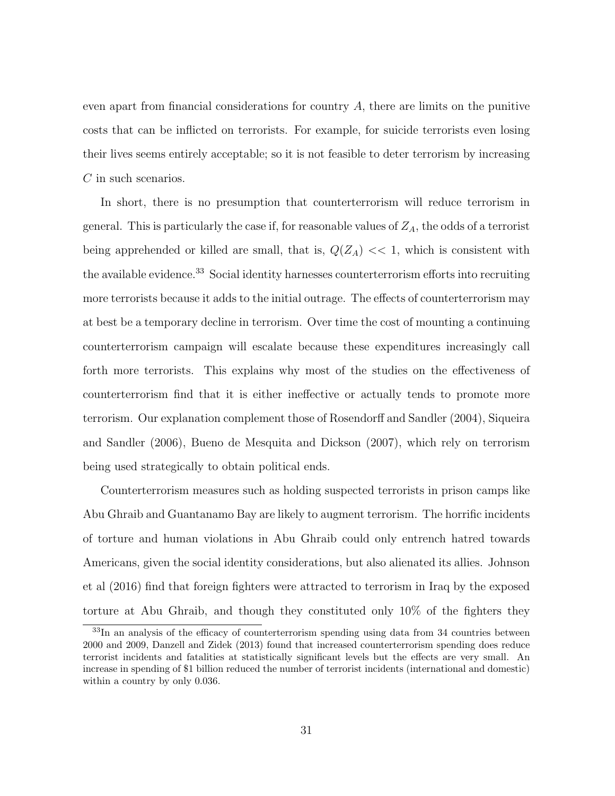even apart from financial considerations for country  $A$ , there are limits on the punitive costs that can be inflicted on terrorists. For example, for suicide terrorists even losing their lives seems entirely acceptable; so it is not feasible to deter terrorism by increasing C in such scenarios.

In short, there is no presumption that counterterrorism will reduce terrorism in general. This is particularly the case if, for reasonable values of  $Z_A$ , the odds of a terrorist being apprehended or killed are small, that is,  $Q(Z_A) \ll 1$ , which is consistent with the available evidence.<sup>33</sup> Social identity harnesses counterterrorism efforts into recruiting more terrorists because it adds to the initial outrage. The effects of counterterrorism may at best be a temporary decline in terrorism. Over time the cost of mounting a continuing counterterrorism campaign will escalate because these expenditures increasingly call forth more terrorists. This explains why most of the studies on the effectiveness of counterterrorism find that it is either ineffective or actually tends to promote more terrorism. Our explanation complement those of Rosendorff and Sandler (2004), Siqueira and Sandler (2006), Bueno de Mesquita and Dickson (2007), which rely on terrorism being used strategically to obtain political ends.

Counterterrorism measures such as holding suspected terrorists in prison camps like Abu Ghraib and Guantanamo Bay are likely to augment terrorism. The horrific incidents of torture and human violations in Abu Ghraib could only entrench hatred towards Americans, given the social identity considerations, but also alienated its allies. Johnson et al (2016) find that foreign fighters were attracted to terrorism in Iraq by the exposed torture at Abu Ghraib, and though they constituted only 10% of the fighters they

<sup>&</sup>lt;sup>33</sup>In an analysis of the efficacy of counterterrorism spending using data from 34 countries between 2000 and 2009, Danzell and Zidek (2013) found that increased counterterrorism spending does reduce terrorist incidents and fatalities at statistically significant levels but the effects are very small. An increase in spending of \$1 billion reduced the number of terrorist incidents (international and domestic) within a country by only 0.036.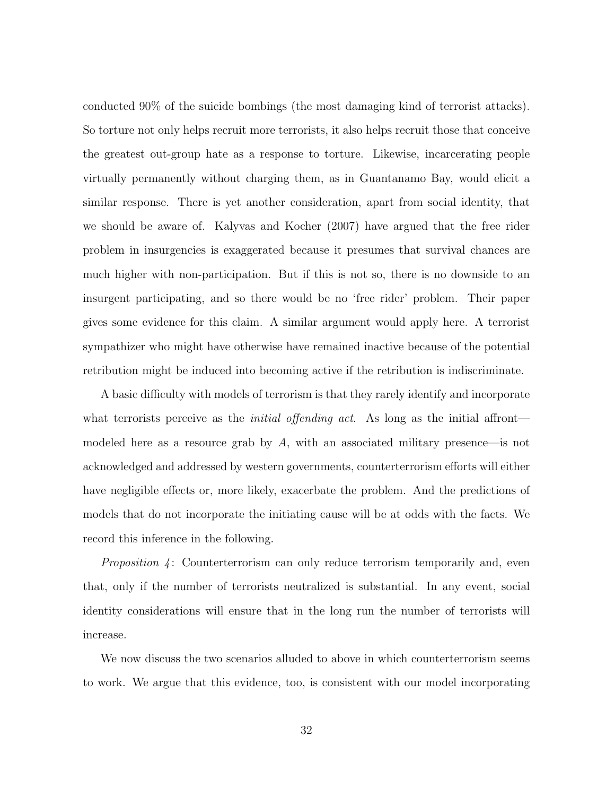conducted 90% of the suicide bombings (the most damaging kind of terrorist attacks). So torture not only helps recruit more terrorists, it also helps recruit those that conceive the greatest out-group hate as a response to torture. Likewise, incarcerating people virtually permanently without charging them, as in Guantanamo Bay, would elicit a similar response. There is yet another consideration, apart from social identity, that we should be aware of. Kalyvas and Kocher (2007) have argued that the free rider problem in insurgencies is exaggerated because it presumes that survival chances are much higher with non-participation. But if this is not so, there is no downside to an insurgent participating, and so there would be no 'free rider' problem. Their paper gives some evidence for this claim. A similar argument would apply here. A terrorist sympathizer who might have otherwise have remained inactive because of the potential retribution might be induced into becoming active if the retribution is indiscriminate.

A basic difficulty with models of terrorism is that they rarely identify and incorporate what terrorists perceive as the *initial offending act*. As long as the initial affront modeled here as a resource grab by  $A$ , with an associated military presence—is not acknowledged and addressed by western governments, counterterrorism efforts will either have negligible effects or, more likely, exacerbate the problem. And the predictions of models that do not incorporate the initiating cause will be at odds with the facts. We record this inference in the following.

*Proposition*  $\downarrow$ : Counterterrorism can only reduce terrorism temporarily and, even that, only if the number of terrorists neutralized is substantial. In any event, social identity considerations will ensure that in the long run the number of terrorists will increase.

We now discuss the two scenarios alluded to above in which counterterrorism seems to work. We argue that this evidence, too, is consistent with our model incorporating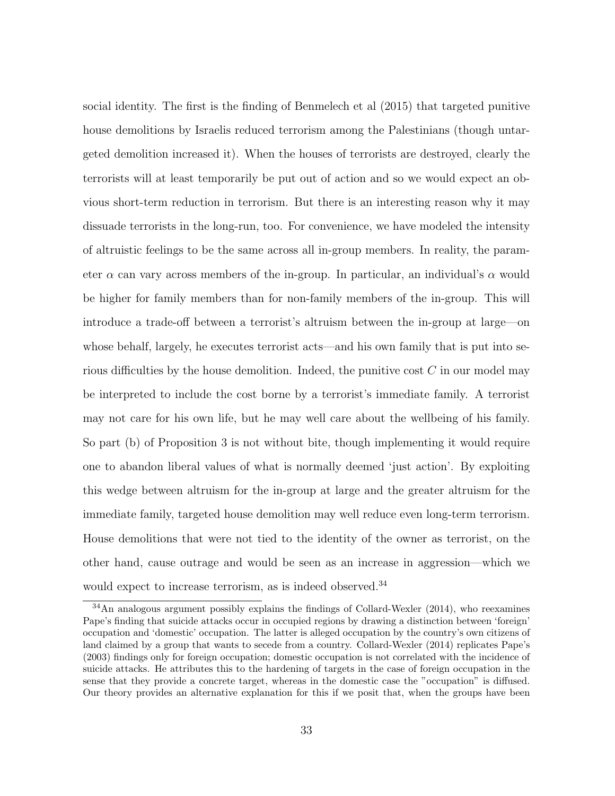social identity. The first is the finding of Benmelech et al (2015) that targeted punitive house demolitions by Israelis reduced terrorism among the Palestinians (though untargeted demolition increased it). When the houses of terrorists are destroyed, clearly the terrorists will at least temporarily be put out of action and so we would expect an obvious short-term reduction in terrorism. But there is an interesting reason why it may dissuade terrorists in the long-run, too. For convenience, we have modeled the intensity of altruistic feelings to be the same across all in-group members. In reality, the parameter  $\alpha$  can vary across members of the in-group. In particular, an individual's  $\alpha$  would be higher for family members than for non-family members of the in-group. This will introduce a trade-off between a terrorist's altruism between the in-group at large—on whose behalf, largely, he executes terrorist acts—and his own family that is put into serious difficulties by the house demolition. Indeed, the punitive cost  $C$  in our model may be interpreted to include the cost borne by a terrorist's immediate family. A terrorist may not care for his own life, but he may well care about the wellbeing of his family. So part (b) of Proposition 3 is not without bite, though implementing it would require one to abandon liberal values of what is normally deemed 'just action'. By exploiting this wedge between altruism for the in-group at large and the greater altruism for the immediate family, targeted house demolition may well reduce even long-term terrorism. House demolitions that were not tied to the identity of the owner as terrorist, on the other hand, cause outrage and would be seen as an increase in aggression—which we would expect to increase terrorism, as is indeed observed.<sup>34</sup>

<sup>&</sup>lt;sup>34</sup>An analogous argument possibly explains the findings of Collard-Wexler (2014), who reexamines Pape's finding that suicide attacks occur in occupied regions by drawing a distinction between 'foreign' occupation and 'domestic' occupation. The latter is alleged occupation by the country's own citizens of land claimed by a group that wants to secede from a country. Collard-Wexler (2014) replicates Pape's (2003) findings only for foreign occupation; domestic occupation is not correlated with the incidence of suicide attacks. He attributes this to the hardening of targets in the case of foreign occupation in the sense that they provide a concrete target, whereas in the domestic case the "occupation" is diffused. Our theory provides an alternative explanation for this if we posit that, when the groups have been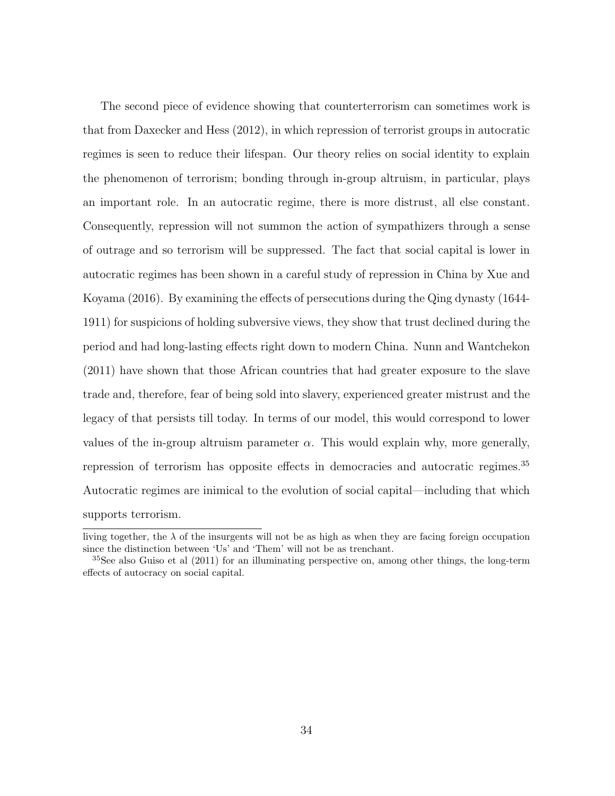The second piece of evidence showing that counterterrorism can sometimes work is that from Daxecker and Hess (2012), in which repression of terrorist groups in autocratic regimes is seen to reduce their lifespan. Our theory relies on social identity to explain the phenomenon of terrorism; bonding through in-group altruism, in particular, plays an important role. In an autocratic regime, there is more distrust, all else constant. Consequently, repression will not summon the action of sympathizers through a sense of outrage and so terrorism will be suppressed. The fact that social capital is lower in autocratic regimes has been shown in a careful study of repression in China by Xue and Koyama (2016). By examining the effects of persecutions during the Qing dynasty (1644- 1911) for suspicions of holding subversive views, they show that trust declined during the period and had long-lasting effects right down to modern China. Nunn and Wantchekon (2011) have shown that those African countries that had greater exposure to the slave trade and, therefore, fear of being sold into slavery, experienced greater mistrust and the legacy of that persists till today. In terms of our model, this would correspond to lower values of the in-group altruism parameter  $\alpha$ . This would explain why, more generally, repression of terrorism has opposite effects in democracies and autocratic regimes.<sup>35</sup> Autocratic regimes are inimical to the evolution of social capital—including that which supports terrorism.

living together, the  $\lambda$  of the insurgents will not be as high as when they are facing foreign occupation since the distinction between 'Us' and 'Them' will not be as trenchant.

 $35$ See also Guiso et al (2011) for an illuminating perspective on, among other things, the long-term effects of autocracy on social capital.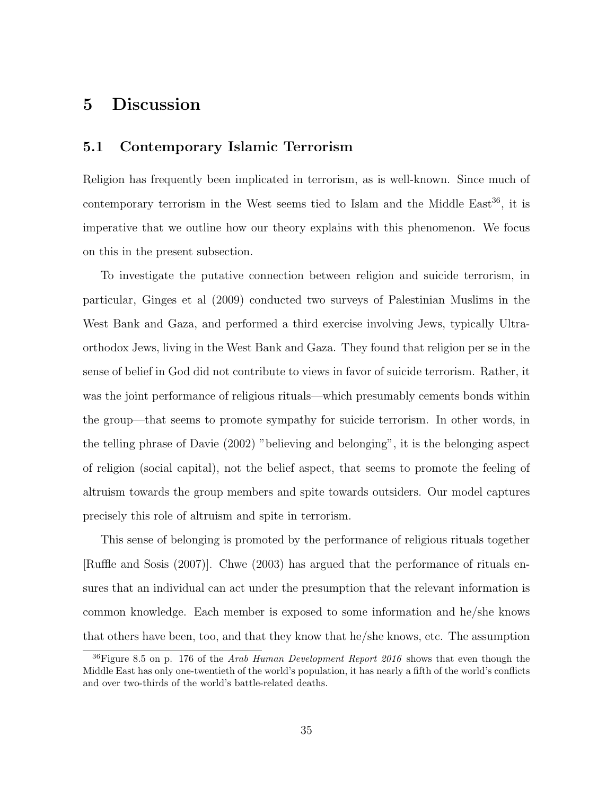### 5 Discussion

#### 5.1 Contemporary Islamic Terrorism

Religion has frequently been implicated in terrorism, as is well-known. Since much of contemporary terrorism in the West seems tied to Islam and the Middle East<sup>36</sup>, it is imperative that we outline how our theory explains with this phenomenon. We focus on this in the present subsection.

To investigate the putative connection between religion and suicide terrorism, in particular, Ginges et al (2009) conducted two surveys of Palestinian Muslims in the West Bank and Gaza, and performed a third exercise involving Jews, typically Ultraorthodox Jews, living in the West Bank and Gaza. They found that religion per se in the sense of belief in God did not contribute to views in favor of suicide terrorism. Rather, it was the joint performance of religious rituals—which presumably cements bonds within the group—that seems to promote sympathy for suicide terrorism. In other words, in the telling phrase of Davie (2002) "believing and belonging", it is the belonging aspect of religion (social capital), not the belief aspect, that seems to promote the feeling of altruism towards the group members and spite towards outsiders. Our model captures precisely this role of altruism and spite in terrorism.

This sense of belonging is promoted by the performance of religious rituals together [Ruffle and Sosis (2007)]. Chwe (2003) has argued that the performance of rituals ensures that an individual can act under the presumption that the relevant information is common knowledge. Each member is exposed to some information and he/she knows that others have been, too, and that they know that he/she knows, etc. The assumption

<sup>&</sup>lt;sup>36</sup>Figure 8.5 on p. 176 of the Arab Human Development Report 2016 shows that even though the Middle East has only one-twentieth of the world's population, it has nearly a fifth of the world's conflicts and over two-thirds of the world's battle-related deaths.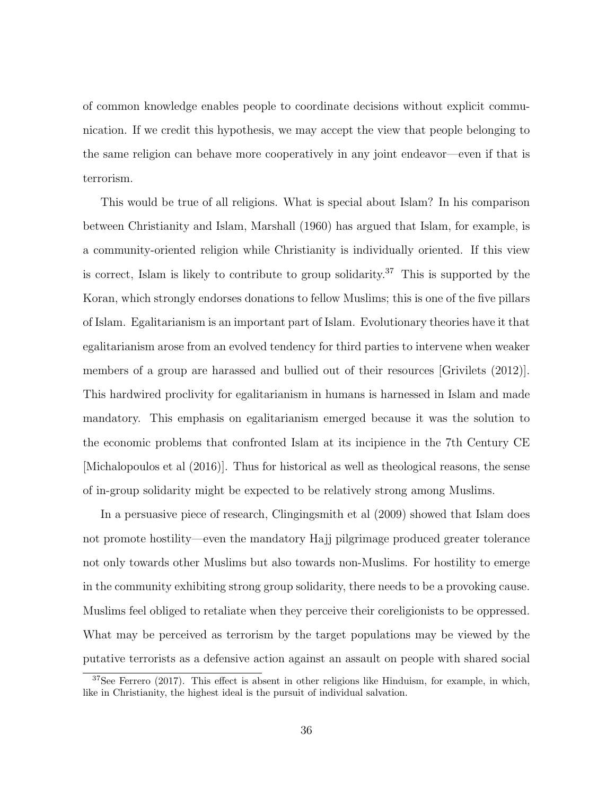of common knowledge enables people to coordinate decisions without explicit communication. If we credit this hypothesis, we may accept the view that people belonging to the same religion can behave more cooperatively in any joint endeavor—even if that is terrorism.

This would be true of all religions. What is special about Islam? In his comparison between Christianity and Islam, Marshall (1960) has argued that Islam, for example, is a community-oriented religion while Christianity is individually oriented. If this view is correct, Islam is likely to contribute to group solidarity.<sup>37</sup> This is supported by the Koran, which strongly endorses donations to fellow Muslims; this is one of the five pillars of Islam. Egalitarianism is an important part of Islam. Evolutionary theories have it that egalitarianism arose from an evolved tendency for third parties to intervene when weaker members of a group are harassed and bullied out of their resources [Grivilets (2012)]. This hardwired proclivity for egalitarianism in humans is harnessed in Islam and made mandatory. This emphasis on egalitarianism emerged because it was the solution to the economic problems that confronted Islam at its incipience in the 7th Century CE [Michalopoulos et al (2016)]. Thus for historical as well as theological reasons, the sense of in-group solidarity might be expected to be relatively strong among Muslims.

In a persuasive piece of research, Clingingsmith et al (2009) showed that Islam does not promote hostility—even the mandatory Hajj pilgrimage produced greater tolerance not only towards other Muslims but also towards non-Muslims. For hostility to emerge in the community exhibiting strong group solidarity, there needs to be a provoking cause. Muslims feel obliged to retaliate when they perceive their coreligionists to be oppressed. What may be perceived as terrorism by the target populations may be viewed by the putative terrorists as a defensive action against an assault on people with shared social

<sup>37</sup>See Ferrero (2017). This effect is absent in other religions like Hinduism, for example, in which, like in Christianity, the highest ideal is the pursuit of individual salvation.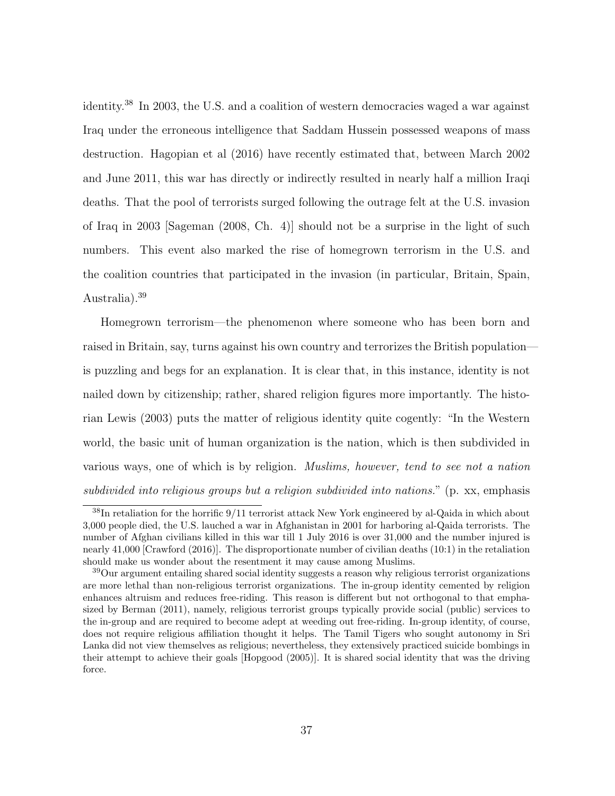identity.<sup>38</sup> In 2003, the U.S. and a coalition of western democracies waged a war against Iraq under the erroneous intelligence that Saddam Hussein possessed weapons of mass destruction. Hagopian et al (2016) have recently estimated that, between March 2002 and June 2011, this war has directly or indirectly resulted in nearly half a million Iraqi deaths. That the pool of terrorists surged following the outrage felt at the U.S. invasion of Iraq in 2003 [Sageman (2008, Ch. 4)] should not be a surprise in the light of such numbers. This event also marked the rise of homegrown terrorism in the U.S. and the coalition countries that participated in the invasion (in particular, Britain, Spain, Australia).<sup>39</sup>

Homegrown terrorism—the phenomenon where someone who has been born and raised in Britain, say, turns against his own country and terrorizes the British population is puzzling and begs for an explanation. It is clear that, in this instance, identity is not nailed down by citizenship; rather, shared religion figures more importantly. The historian Lewis (2003) puts the matter of religious identity quite cogently: "In the Western world, the basic unit of human organization is the nation, which is then subdivided in various ways, one of which is by religion. Muslims, however, tend to see not a nation subdivided into religious groups but a religion subdivided into nations." (p. xx, emphasis

<sup>38</sup>In retaliation for the horrific 9/11 terrorist attack New York engineered by al-Qaida in which about 3,000 people died, the U.S. lauched a war in Afghanistan in 2001 for harboring al-Qaida terrorists. The number of Afghan civilians killed in this war till 1 July 2016 is over 31,000 and the number injured is nearly 41,000 [Crawford (2016)]. The disproportionate number of civilian deaths (10:1) in the retaliation should make us wonder about the resentment it may cause among Muslims.

<sup>39</sup>Our argument entailing shared social identity suggests a reason why religious terrorist organizations are more lethal than non-religious terrorist organizations. The in-group identity cemented by religion enhances altruism and reduces free-riding. This reason is different but not orthogonal to that emphasized by Berman (2011), namely, religious terrorist groups typically provide social (public) services to the in-group and are required to become adept at weeding out free-riding. In-group identity, of course, does not require religious affiliation thought it helps. The Tamil Tigers who sought autonomy in Sri Lanka did not view themselves as religious; nevertheless, they extensively practiced suicide bombings in their attempt to achieve their goals [Hopgood (2005)]. It is shared social identity that was the driving force.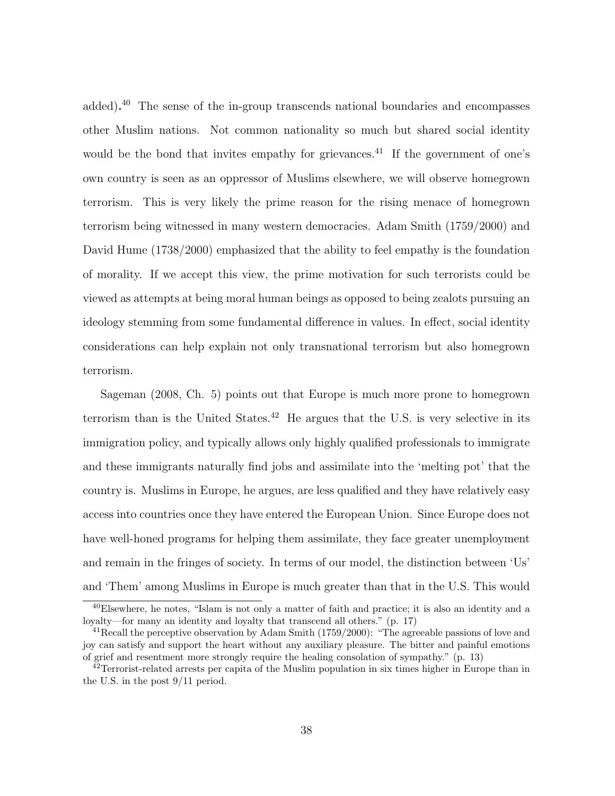added). <sup>40</sup> The sense of the in-group transcends national boundaries and encompasses other Muslim nations. Not common nationality so much but shared social identity would be the bond that invites empathy for grievances.<sup>41</sup> If the government of one's own country is seen as an oppressor of Muslims elsewhere, we will observe homegrown terrorism. This is very likely the prime reason for the rising menace of homegrown terrorism being witnessed in many western democracies. Adam Smith (1759/2000) and David Hume (1738/2000) emphasized that the ability to feel empathy is the foundation of morality. If we accept this view, the prime motivation for such terrorists could be viewed as attempts at being moral human beings as opposed to being zealots pursuing an ideology stemming from some fundamental difference in values. In effect, social identity considerations can help explain not only transnational terrorism but also homegrown terrorism.

Sageman (2008, Ch. 5) points out that Europe is much more prone to homegrown terrorism than is the United States.<sup>42</sup> He argues that the U.S. is very selective in its immigration policy, and typically allows only highly qualified professionals to immigrate and these immigrants naturally find jobs and assimilate into the 'melting pot' that the country is. Muslims in Europe, he argues, are less qualified and they have relatively easy access into countries once they have entered the European Union. Since Europe does not have well-honed programs for helping them assimilate, they face greater unemployment and remain in the fringes of society. In terms of our model, the distinction between 'Us' and 'Them' among Muslims in Europe is much greater than that in the U.S. This would

<sup>40</sup>Elsewhere, he notes, "Islam is not only a matter of faith and practice; it is also an identity and a loyalty—for many an identity and loyalty that transcend all others." (p. 17)

<sup>&</sup>lt;sup>41</sup> Recall the perceptive observation by Adam Smith (1759/2000): "The agreeable passions of love and joy can satisfy and support the heart without any auxiliary pleasure. The bitter and painful emotions of grief and resentment more strongly require the healing consolation of sympathy." (p. 13)

<sup>&</sup>lt;sup>42</sup> Terrorist-related arrests per capita of the Muslim population in six times higher in Europe than in the U.S. in the post 9/11 period.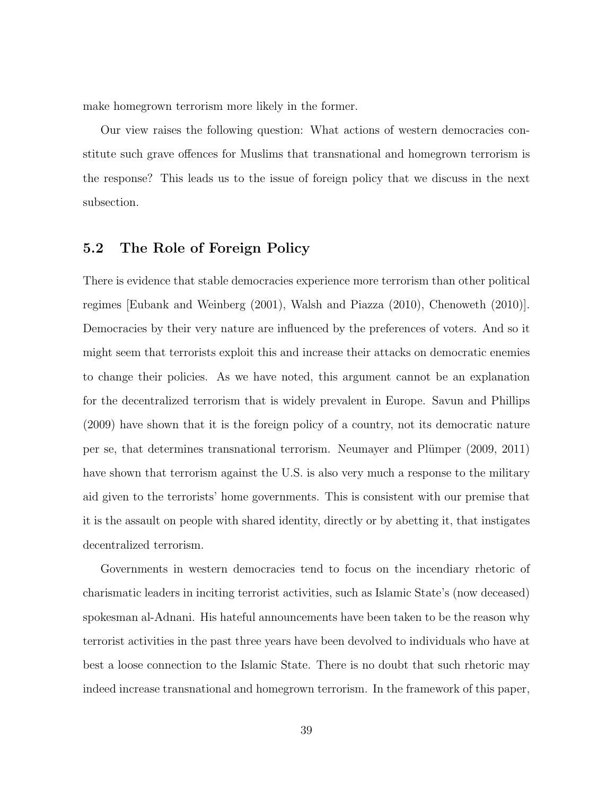make homegrown terrorism more likely in the former.

Our view raises the following question: What actions of western democracies constitute such grave offences for Muslims that transnational and homegrown terrorism is the response? This leads us to the issue of foreign policy that we discuss in the next subsection.

#### 5.2 The Role of Foreign Policy

There is evidence that stable democracies experience more terrorism than other political regimes [Eubank and Weinberg (2001), Walsh and Piazza (2010), Chenoweth (2010)]. Democracies by their very nature are influenced by the preferences of voters. And so it might seem that terrorists exploit this and increase their attacks on democratic enemies to change their policies. As we have noted, this argument cannot be an explanation for the decentralized terrorism that is widely prevalent in Europe. Savun and Phillips (2009) have shown that it is the foreign policy of a country, not its democratic nature per se, that determines transnational terrorism. Neumayer and Plümper (2009, 2011) have shown that terrorism against the U.S. is also very much a response to the military aid given to the terrorists' home governments. This is consistent with our premise that it is the assault on people with shared identity, directly or by abetting it, that instigates decentralized terrorism.

Governments in western democracies tend to focus on the incendiary rhetoric of charismatic leaders in inciting terrorist activities, such as Islamic State's (now deceased) spokesman al-Adnani. His hateful announcements have been taken to be the reason why terrorist activities in the past three years have been devolved to individuals who have at best a loose connection to the Islamic State. There is no doubt that such rhetoric may indeed increase transnational and homegrown terrorism. In the framework of this paper,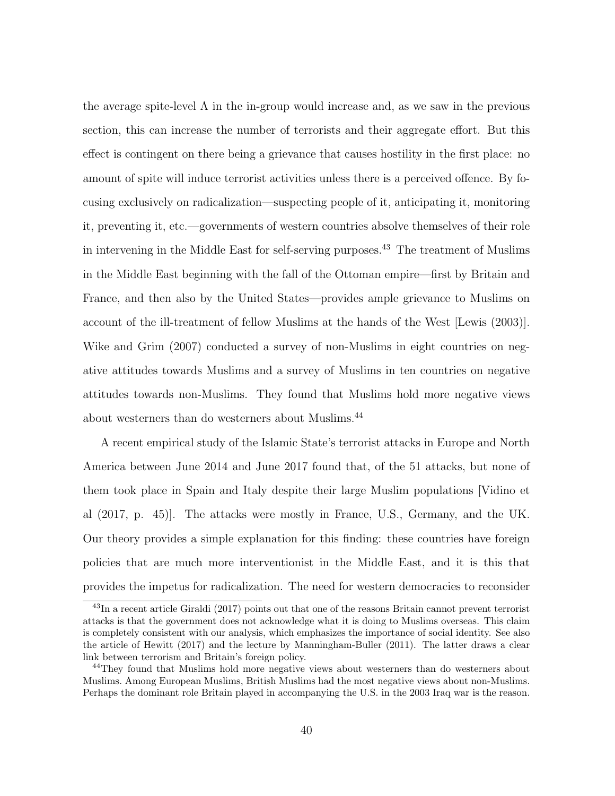the average spite-level  $\Lambda$  in the in-group would increase and, as we saw in the previous section, this can increase the number of terrorists and their aggregate effort. But this effect is contingent on there being a grievance that causes hostility in the first place: no amount of spite will induce terrorist activities unless there is a perceived offence. By focusing exclusively on radicalization—suspecting people of it, anticipating it, monitoring it, preventing it, etc.—governments of western countries absolve themselves of their role in intervening in the Middle East for self-serving purposes.<sup>43</sup> The treatment of Muslims in the Middle East beginning with the fall of the Ottoman empire—first by Britain and France, and then also by the United States—provides ample grievance to Muslims on account of the ill-treatment of fellow Muslims at the hands of the West [Lewis (2003)]. Wike and Grim (2007) conducted a survey of non-Muslims in eight countries on negative attitudes towards Muslims and a survey of Muslims in ten countries on negative attitudes towards non-Muslims. They found that Muslims hold more negative views about westerners than do westerners about Muslims.<sup>44</sup>

A recent empirical study of the Islamic State's terrorist attacks in Europe and North America between June 2014 and June 2017 found that, of the 51 attacks, but none of them took place in Spain and Italy despite their large Muslim populations [Vidino et al (2017, p. 45)]. The attacks were mostly in France, U.S., Germany, and the UK. Our theory provides a simple explanation for this finding: these countries have foreign policies that are much more interventionist in the Middle East, and it is this that provides the impetus for radicalization. The need for western democracies to reconsider

<sup>&</sup>lt;sup>43</sup>In a recent article Giraldi (2017) points out that one of the reasons Britain cannot prevent terrorist attacks is that the government does not acknowledge what it is doing to Muslims overseas. This claim is completely consistent with our analysis, which emphasizes the importance of social identity. See also the article of Hewitt (2017) and the lecture by Manningham-Buller (2011). The latter draws a clear link between terrorism and Britain's foreign policy.

<sup>44</sup>They found that Muslims hold more negative views about westerners than do westerners about Muslims. Among European Muslims, British Muslims had the most negative views about non-Muslims. Perhaps the dominant role Britain played in accompanying the U.S. in the 2003 Iraq war is the reason.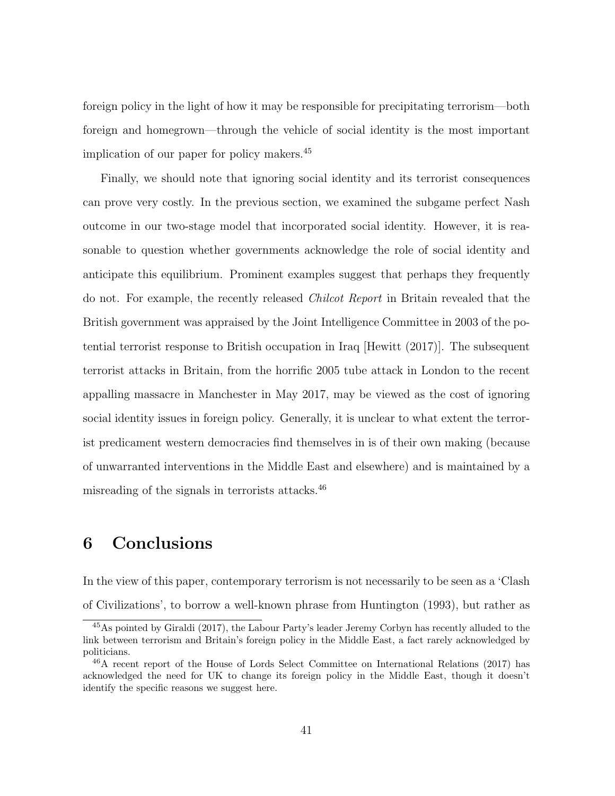foreign policy in the light of how it may be responsible for precipitating terrorism—both foreign and homegrown—through the vehicle of social identity is the most important implication of our paper for policy makers.<sup>45</sup>

Finally, we should note that ignoring social identity and its terrorist consequences can prove very costly. In the previous section, we examined the subgame perfect Nash outcome in our two-stage model that incorporated social identity. However, it is reasonable to question whether governments acknowledge the role of social identity and anticipate this equilibrium. Prominent examples suggest that perhaps they frequently do not. For example, the recently released Chilcot Report in Britain revealed that the British government was appraised by the Joint Intelligence Committee in 2003 of the potential terrorist response to British occupation in Iraq [Hewitt (2017)]. The subsequent terrorist attacks in Britain, from the horrific 2005 tube attack in London to the recent appalling massacre in Manchester in May 2017, may be viewed as the cost of ignoring social identity issues in foreign policy. Generally, it is unclear to what extent the terrorist predicament western democracies find themselves in is of their own making (because of unwarranted interventions in the Middle East and elsewhere) and is maintained by a misreading of the signals in terrorists attacks.<sup>46</sup>

## 6 Conclusions

In the view of this paper, contemporary terrorism is not necessarily to be seen as a 'Clash of Civilizations', to borrow a well-known phrase from Huntington (1993), but rather as

<sup>45</sup>As pointed by Giraldi (2017), the Labour Party's leader Jeremy Corbyn has recently alluded to the link between terrorism and Britain's foreign policy in the Middle East, a fact rarely acknowledged by politicians.

<sup>46</sup>A recent report of the House of Lords Select Committee on International Relations (2017) has acknowledged the need for UK to change its foreign policy in the Middle East, though it doesn't identify the specific reasons we suggest here.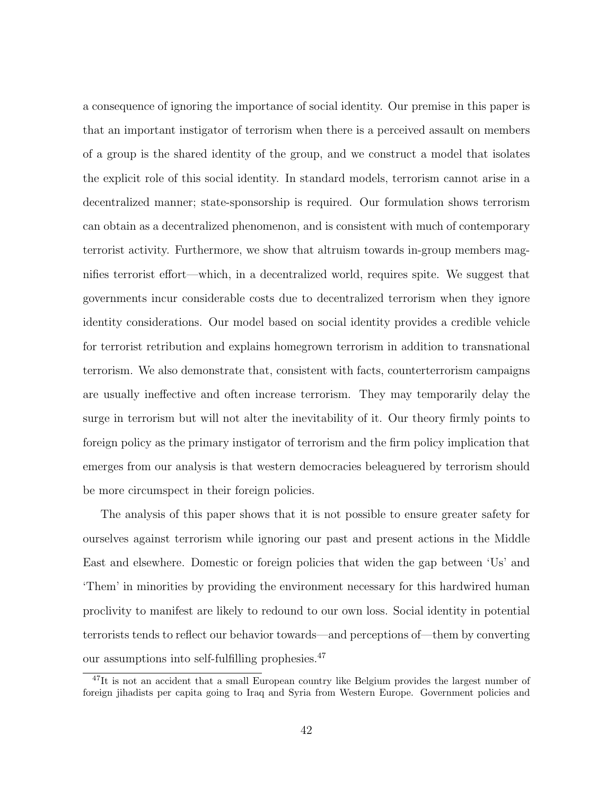a consequence of ignoring the importance of social identity. Our premise in this paper is that an important instigator of terrorism when there is a perceived assault on members of a group is the shared identity of the group, and we construct a model that isolates the explicit role of this social identity. In standard models, terrorism cannot arise in a decentralized manner; state-sponsorship is required. Our formulation shows terrorism can obtain as a decentralized phenomenon, and is consistent with much of contemporary terrorist activity. Furthermore, we show that altruism towards in-group members magnifies terrorist effort—which, in a decentralized world, requires spite. We suggest that governments incur considerable costs due to decentralized terrorism when they ignore identity considerations. Our model based on social identity provides a credible vehicle for terrorist retribution and explains homegrown terrorism in addition to transnational terrorism. We also demonstrate that, consistent with facts, counterterrorism campaigns are usually ineffective and often increase terrorism. They may temporarily delay the surge in terrorism but will not alter the inevitability of it. Our theory firmly points to foreign policy as the primary instigator of terrorism and the firm policy implication that emerges from our analysis is that western democracies beleaguered by terrorism should be more circumspect in their foreign policies.

The analysis of this paper shows that it is not possible to ensure greater safety for ourselves against terrorism while ignoring our past and present actions in the Middle East and elsewhere. Domestic or foreign policies that widen the gap between 'Us' and 'Them' in minorities by providing the environment necessary for this hardwired human proclivity to manifest are likely to redound to our own loss. Social identity in potential terrorists tends to reflect our behavior towards—and perceptions of—them by converting our assumptions into self-fulfilling prophesies.<sup>47</sup>

<sup>&</sup>lt;sup>47</sup>It is not an accident that a small European country like Belgium provides the largest number of foreign jihadists per capita going to Iraq and Syria from Western Europe. Government policies and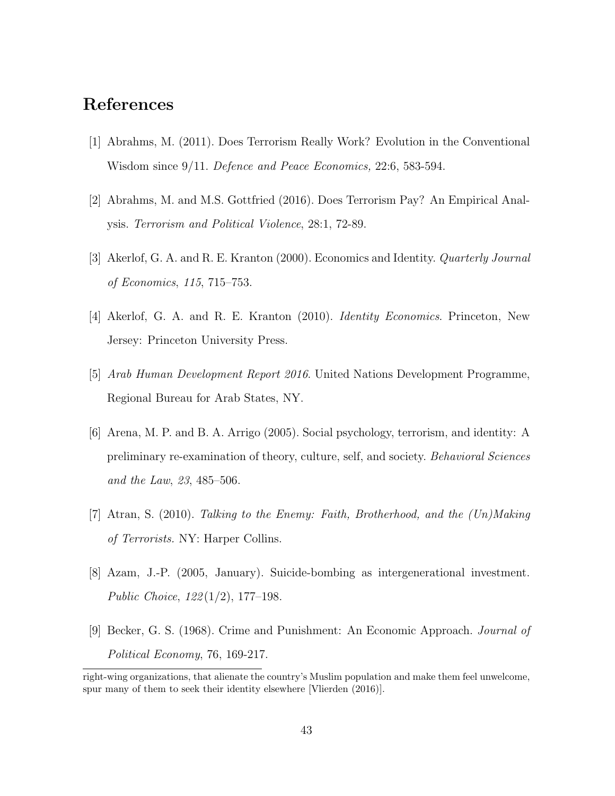## References

- [1] Abrahms, M. (2011). Does Terrorism Really Work? Evolution in the Conventional Wisdom since 9/11. Defence and Peace Economics, 22:6, 583-594.
- [2] Abrahms, M. and M.S. Gottfried (2016). Does Terrorism Pay? An Empirical Analysis. Terrorism and Political Violence, 28:1, 72-89.
- [3] Akerlof, G. A. and R. E. Kranton (2000). Economics and Identity. Quarterly Journal of Economics, 115, 715–753.
- [4] Akerlof, G. A. and R. E. Kranton (2010). Identity Economics. Princeton, New Jersey: Princeton University Press.
- [5] Arab Human Development Report 2016. United Nations Development Programme, Regional Bureau for Arab States, NY.
- [6] Arena, M. P. and B. A. Arrigo (2005). Social psychology, terrorism, and identity: A preliminary re-examination of theory, culture, self, and society. Behavioral Sciences and the Law, 23, 485–506.
- [7] Atran, S. (2010). Talking to the Enemy: Faith, Brotherhood, and the (Un)Making of Terrorists. NY: Harper Collins.
- [8] Azam, J.-P. (2005, January). Suicide-bombing as intergenerational investment. Public Choice, 122 (1/2), 177–198.
- [9] Becker, G. S. (1968). Crime and Punishment: An Economic Approach. Journal of Political Economy, 76, 169-217.

right-wing organizations, that alienate the country's Muslim population and make them feel unwelcome, spur many of them to seek their identity elsewhere [Vlierden (2016)].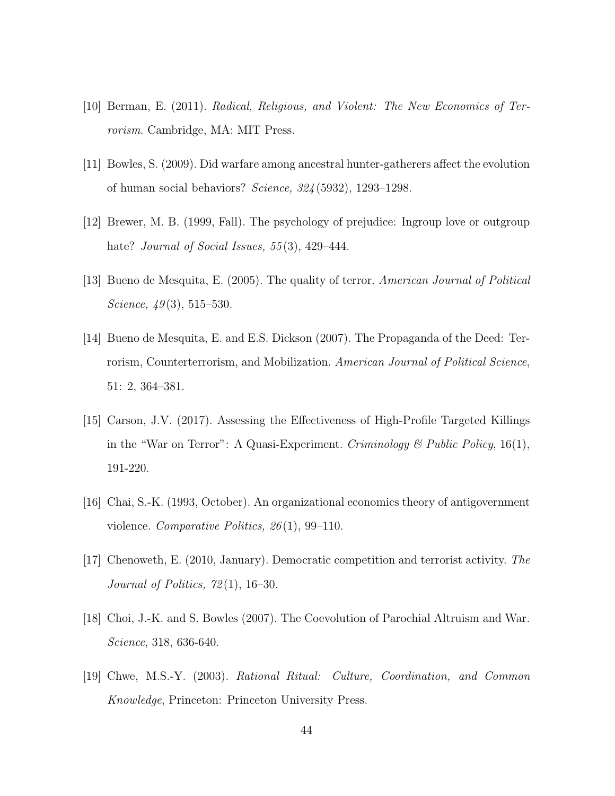- [10] Berman, E. (2011). Radical, Religious, and Violent: The New Economics of Terrorism. Cambridge, MA: MIT Press.
- [11] Bowles, S. (2009). Did warfare among ancestral hunter-gatherers affect the evolution of human social behaviors? Science, 324 (5932), 1293–1298.
- [12] Brewer, M. B. (1999, Fall). The psychology of prejudice: Ingroup love or outgroup hate? *Journal of Social Issues*, 55(3), 429–444.
- [13] Bueno de Mesquita, E. (2005). The quality of terror. American Journal of Political Science,  $49(3)$ , 515–530.
- [14] Bueno de Mesquita, E. and E.S. Dickson (2007). The Propaganda of the Deed: Terrorism, Counterterrorism, and Mobilization. American Journal of Political Science, 51: 2, 364–381.
- [15] Carson, J.V. (2017). Assessing the Effectiveness of High-Profile Targeted Killings in the "War on Terror": A Quasi-Experiment. Criminology  $\mathcal C$  Public Policy, 16(1), 191-220.
- [16] Chai, S.-K. (1993, October). An organizational economics theory of antigovernment violence. Comparative Politics, 26 (1), 99–110.
- [17] Chenoweth, E. (2010, January). Democratic competition and terrorist activity. The Journal of Politics,  $72(1)$ , 16-30.
- [18] Choi, J.-K. and S. Bowles (2007). The Coevolution of Parochial Altruism and War. Science, 318, 636-640.
- [19] Chwe, M.S.-Y. (2003). Rational Ritual: Culture, Coordination, and Common Knowledge, Princeton: Princeton University Press.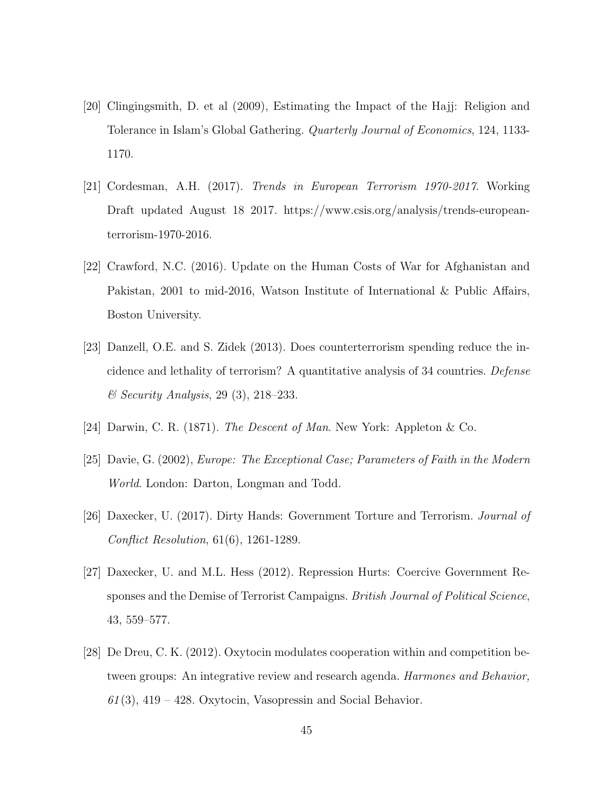- [20] Clingingsmith, D. et al (2009), Estimating the Impact of the Hajj: Religion and Tolerance in Islam's Global Gathering. Quarterly Journal of Economics, 124, 1133- 1170.
- [21] Cordesman, A.H. (2017). Trends in European Terrorism 1970-2017. Working Draft updated August 18 2017. https://www.csis.org/analysis/trends-europeanterrorism-1970-2016.
- [22] Crawford, N.C. (2016). Update on the Human Costs of War for Afghanistan and Pakistan, 2001 to mid-2016, Watson Institute of International & Public Affairs, Boston University.
- [23] Danzell, O.E. and S. Zidek (2013). Does counterterrorism spending reduce the incidence and lethality of terrorism? A quantitative analysis of 34 countries. Defense & Security Analysis, 29 (3), 218–233.
- [24] Darwin, C. R. (1871). The Descent of Man. New York: Appleton & Co.
- [25] Davie, G. (2002), Europe: The Exceptional Case; Parameters of Faith in the Modern World. London: Darton, Longman and Todd.
- [26] Daxecker, U. (2017). Dirty Hands: Government Torture and Terrorism. Journal of Conflict Resolution, 61(6), 1261-1289.
- [27] Daxecker, U. and M.L. Hess (2012). Repression Hurts: Coercive Government Responses and the Demise of Terrorist Campaigns. *British Journal of Political Science*, 43, 559–577.
- [28] De Dreu, C. K. (2012). Oxytocin modulates cooperation within and competition between groups: An integrative review and research agenda. Harmones and Behavior,  $61(3)$ , 419 – 428. Oxytocin, Vasopressin and Social Behavior.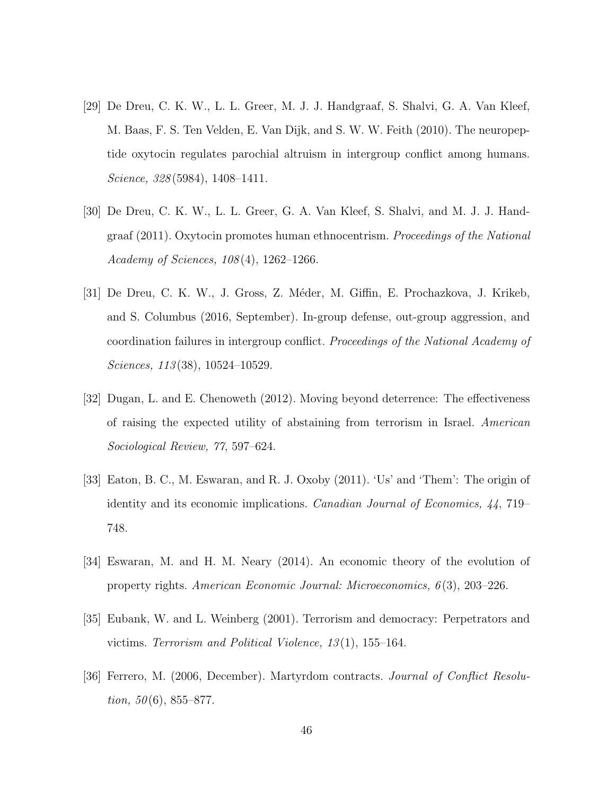- [29] De Dreu, C. K. W., L. L. Greer, M. J. J. Handgraaf, S. Shalvi, G. A. Van Kleef, M. Baas, F. S. Ten Velden, E. Van Dijk, and S. W. W. Feith (2010). The neuropeptide oxytocin regulates parochial altruism in intergroup conflict among humans. Science, 328 (5984), 1408–1411.
- [30] De Dreu, C. K. W., L. L. Greer, G. A. Van Kleef, S. Shalvi, and M. J. J. Handgraaf (2011). Oxytocin promotes human ethnocentrism. Proceedings of the National Academy of Sciences, 108 (4), 1262–1266.
- [31] De Dreu, C. K. W., J. Gross, Z. M´eder, M. Giffin, E. Prochazkova, J. Krikeb, and S. Columbus (2016, September). In-group defense, out-group aggression, and coordination failures in intergroup conflict. Proceedings of the National Academy of Sciences, 113(38), 10524-10529.
- [32] Dugan, L. and E. Chenoweth (2012). Moving beyond deterrence: The effectiveness of raising the expected utility of abstaining from terrorism in Israel. American Sociological Review, 77, 597–624.
- [33] Eaton, B. C., M. Eswaran, and R. J. Oxoby (2011). 'Us' and 'Them': The origin of identity and its economic implications. Canadian Journal of Economics, 44, 719– 748.
- [34] Eswaran, M. and H. M. Neary (2014). An economic theory of the evolution of property rights. American Economic Journal: Microeconomics, 6 (3), 203–226.
- [35] Eubank, W. and L. Weinberg (2001). Terrorism and democracy: Perpetrators and victims. Terrorism and Political Violence, 13 (1), 155–164.
- [36] Ferrero, M. (2006, December). Martyrdom contracts. Journal of Conflict Resolu*tion*,  $50(6)$ ,  $855-877$ .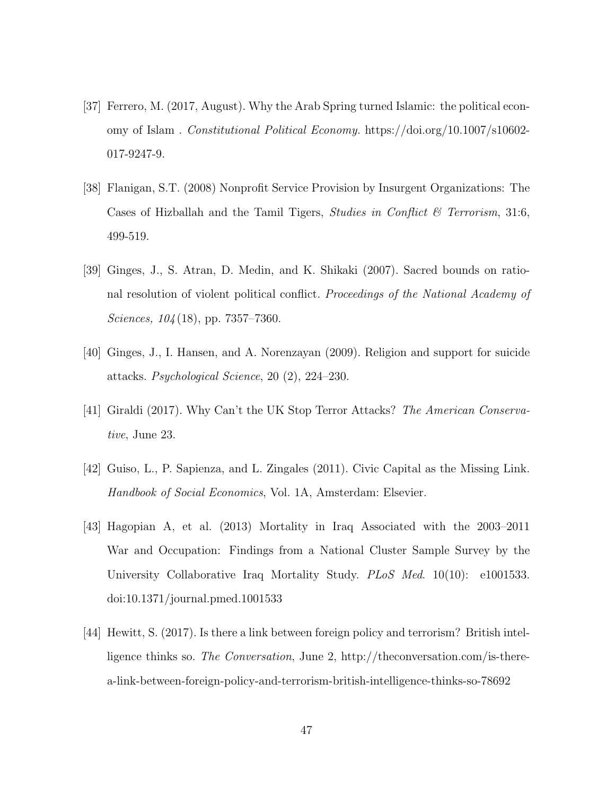- [37] Ferrero, M. (2017, August). Why the Arab Spring turned Islamic: the political economy of Islam . Constitutional Political Economy. https://doi.org/10.1007/s10602- 017-9247-9.
- [38] Flanigan, S.T. (2008) Nonprofit Service Provision by Insurgent Organizations: The Cases of Hizballah and the Tamil Tigers, *Studies in Conflict & Terrorism*, 31:6, 499-519.
- [39] Ginges, J., S. Atran, D. Medin, and K. Shikaki (2007). Sacred bounds on rational resolution of violent political conflict. Proceedings of the National Academy of Sciences, 104(18), pp. 7357–7360.
- [40] Ginges, J., I. Hansen, and A. Norenzayan (2009). Religion and support for suicide attacks. Psychological Science, 20 (2), 224–230.
- [41] Giraldi (2017). Why Can't the UK Stop Terror Attacks? The American Conservative, June 23.
- [42] Guiso, L., P. Sapienza, and L. Zingales (2011). Civic Capital as the Missing Link. Handbook of Social Economics, Vol. 1A, Amsterdam: Elsevier.
- [43] Hagopian A, et al. (2013) Mortality in Iraq Associated with the 2003–2011 War and Occupation: Findings from a National Cluster Sample Survey by the University Collaborative Iraq Mortality Study. PLoS Med. 10(10): e1001533. doi:10.1371/journal.pmed.1001533
- [44] Hewitt, S. (2017). Is there a link between foreign policy and terrorism? British intelligence thinks so. The Conversation, June 2, http://theconversation.com/is-therea-link-between-foreign-policy-and-terrorism-british-intelligence-thinks-so-78692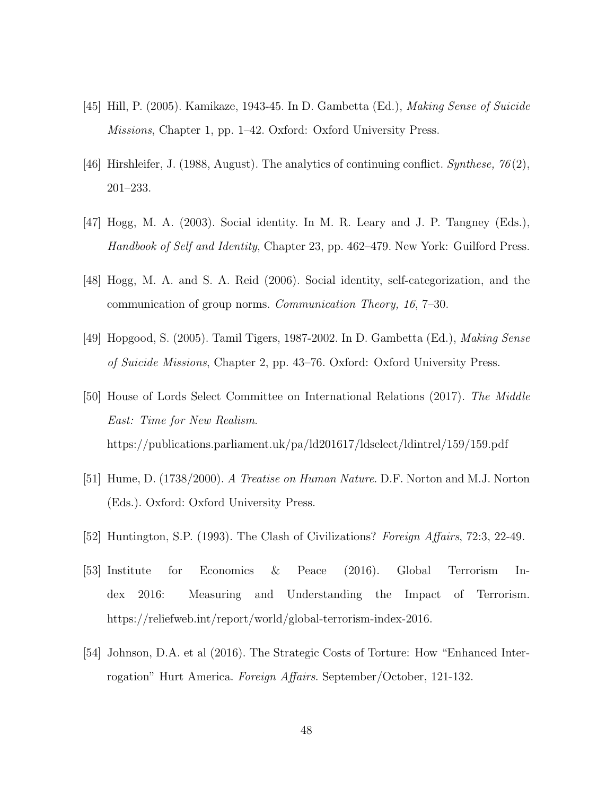- [45] Hill, P. (2005). Kamikaze, 1943-45. In D. Gambetta (Ed.), Making Sense of Suicide Missions, Chapter 1, pp. 1–42. Oxford: Oxford University Press.
- [46] Hirshleifer, J. (1988, August). The analytics of continuing conflict. Synthese,  $76(2)$ , 201–233.
- [47] Hogg, M. A. (2003). Social identity. In M. R. Leary and J. P. Tangney (Eds.), Handbook of Self and Identity, Chapter 23, pp. 462–479. New York: Guilford Press.
- [48] Hogg, M. A. and S. A. Reid (2006). Social identity, self-categorization, and the communication of group norms. Communication Theory, 16, 7–30.
- [49] Hopgood, S. (2005). Tamil Tigers, 1987-2002. In D. Gambetta (Ed.), Making Sense of Suicide Missions, Chapter 2, pp. 43–76. Oxford: Oxford University Press.
- [50] House of Lords Select Committee on International Relations (2017). The Middle East: Time for New Realism. https://publications.parliament.uk/pa/ld201617/ldselect/ldintrel/159/159.pdf
- [51] Hume, D. (1738/2000). A Treatise on Human Nature. D.F. Norton and M.J. Norton (Eds.). Oxford: Oxford University Press.
- [52] Huntington, S.P. (1993). The Clash of Civilizations? Foreign Affairs, 72:3, 22-49.
- [53] Institute for Economics & Peace (2016). Global Terrorism Index 2016: Measuring and Understanding the Impact of Terrorism. https://reliefweb.int/report/world/global-terrorism-index-2016.
- [54] Johnson, D.A. et al (2016). The Strategic Costs of Torture: How "Enhanced Interrogation" Hurt America. Foreign Affairs. September/October, 121-132.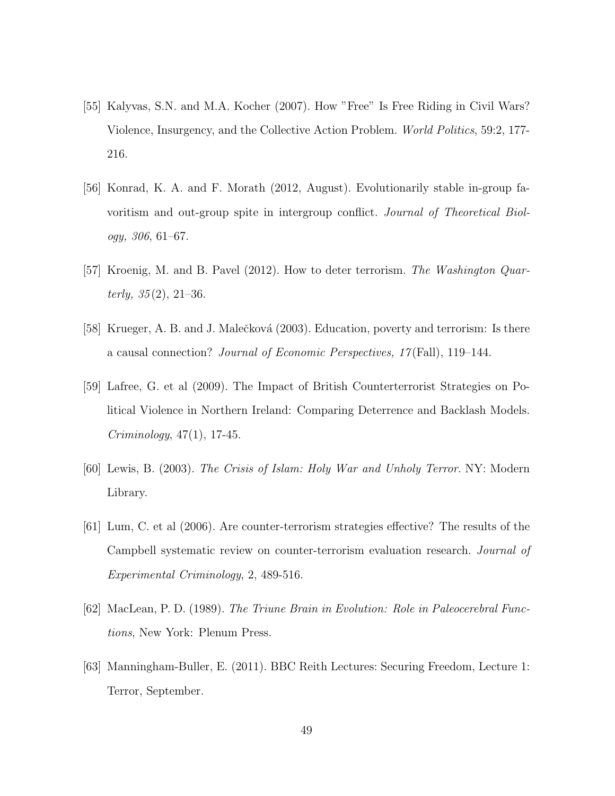- [55] Kalyvas, S.N. and M.A. Kocher (2007). How "Free" Is Free Riding in Civil Wars? Violence, Insurgency, and the Collective Action Problem. World Politics, 59:2, 177- 216.
- [56] Konrad, K. A. and F. Morath (2012, August). Evolutionarily stable in-group favoritism and out-group spite in intergroup conflict. Journal of Theoretical Biology, 306, 61–67.
- [57] Kroenig, M. and B. Pavel (2012). How to deter terrorism. The Washington Quarterly,  $35(2)$ ,  $21-36$ .
- [58] Krueger, A. B. and J. Malečková (2003). Education, poverty and terrorism: Is there a causal connection? Journal of Economic Perspectives, 17 (Fall), 119–144.
- [59] Lafree, G. et al (2009). The Impact of British Counterterrorist Strategies on Political Violence in Northern Ireland: Comparing Deterrence and Backlash Models. Criminology, 47(1), 17-45.
- [60] Lewis, B. (2003). The Crisis of Islam: Holy War and Unholy Terror. NY: Modern Library.
- [61] Lum, C. et al (2006). Are counter-terrorism strategies effective? The results of the Campbell systematic review on counter-terrorism evaluation research. Journal of Experimental Criminology, 2, 489-516.
- [62] MacLean, P. D. (1989). The Triune Brain in Evolution: Role in Paleocerebral Functions, New York: Plenum Press.
- [63] Manningham-Buller, E. (2011). BBC Reith Lectures: Securing Freedom, Lecture 1: Terror, September.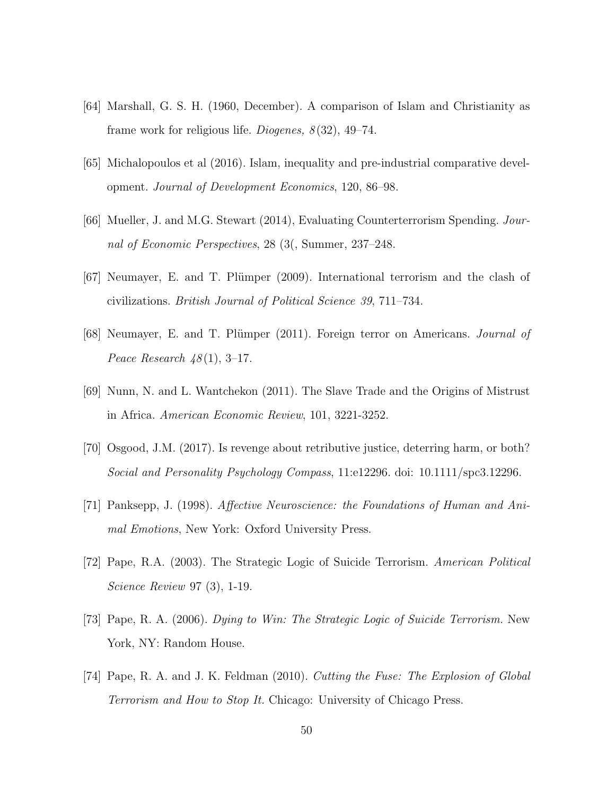- [64] Marshall, G. S. H. (1960, December). A comparison of Islam and Christianity as frame work for religious life. *Diogenes*,  $8(32)$ , 49–74.
- [65] Michalopoulos et al (2016). Islam, inequality and pre-industrial comparative development. Journal of Development Economics, 120, 86–98.
- [66] Mueller, J. and M.G. Stewart (2014), Evaluating Counterterrorism Spending. Journal of Economic Perspectives, 28 (3(, Summer, 237–248.
- [67] Neumayer, E. and T. Plümper (2009). International terrorism and the clash of civilizations. British Journal of Political Science 39, 711–734.
- [68] Neumayer, E. and T. Plümper (2011). Foreign terror on Americans. Journal of Peace Research  $48(1)$ , 3-17.
- [69] Nunn, N. and L. Wantchekon (2011). The Slave Trade and the Origins of Mistrust in Africa. American Economic Review, 101, 3221-3252.
- [70] Osgood, J.M. (2017). Is revenge about retributive justice, deterring harm, or both? Social and Personality Psychology Compass, 11:e12296. doi: 10.1111/spc3.12296.
- [71] Panksepp, J. (1998). Affective Neuroscience: the Foundations of Human and Animal Emotions, New York: Oxford University Press.
- [72] Pape, R.A. (2003). The Strategic Logic of Suicide Terrorism. American Political Science Review 97 (3), 1-19.
- [73] Pape, R. A. (2006). Dying to Win: The Strategic Logic of Suicide Terrorism. New York, NY: Random House.
- [74] Pape, R. A. and J. K. Feldman (2010). Cutting the Fuse: The Explosion of Global Terrorism and How to Stop It. Chicago: University of Chicago Press.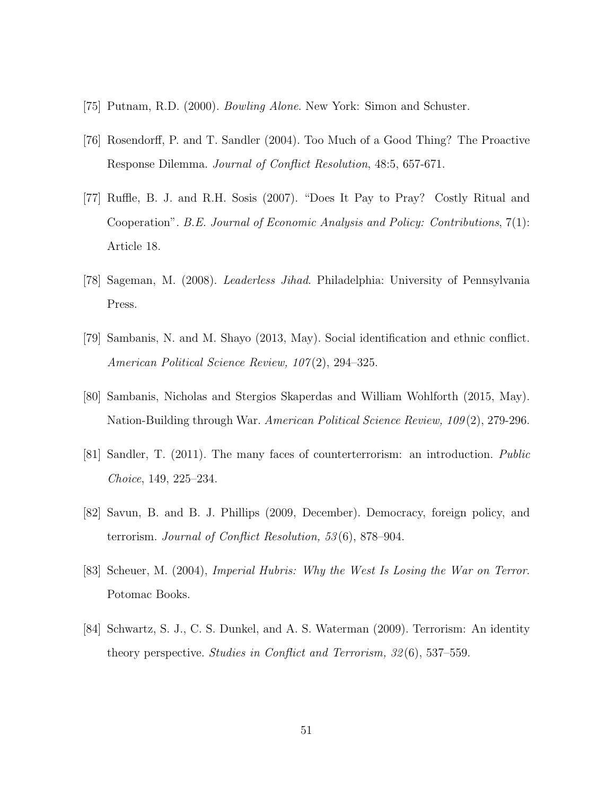- [75] Putnam, R.D. (2000). Bowling Alone. New York: Simon and Schuster.
- [76] Rosendorff, P. and T. Sandler (2004). Too Much of a Good Thing? The Proactive Response Dilemma. Journal of Conflict Resolution, 48:5, 657-671.
- [77] Ruffle, B. J. and R.H. Sosis (2007). "Does It Pay to Pray? Costly Ritual and Cooperation". B.E. Journal of Economic Analysis and Policy: Contributions, 7(1): Article 18.
- [78] Sageman, M. (2008). Leaderless Jihad. Philadelphia: University of Pennsylvania Press.
- [79] Sambanis, N. and M. Shayo (2013, May). Social identification and ethnic conflict. American Political Science Review, 107(2), 294–325.
- [80] Sambanis, Nicholas and Stergios Skaperdas and William Wohlforth (2015, May). Nation-Building through War. American Political Science Review, 109 (2), 279-296.
- [81] Sandler, T. (2011). The many faces of counterterrorism: an introduction. Public Choice, 149, 225–234.
- [82] Savun, B. and B. J. Phillips (2009, December). Democracy, foreign policy, and terrorism. Journal of Conflict Resolution, 53 (6), 878–904.
- [83] Scheuer, M. (2004), Imperial Hubris: Why the West Is Losing the War on Terror. Potomac Books.
- [84] Schwartz, S. J., C. S. Dunkel, and A. S. Waterman (2009). Terrorism: An identity theory perspective. Studies in Conflict and Terrorism, 32 (6), 537–559.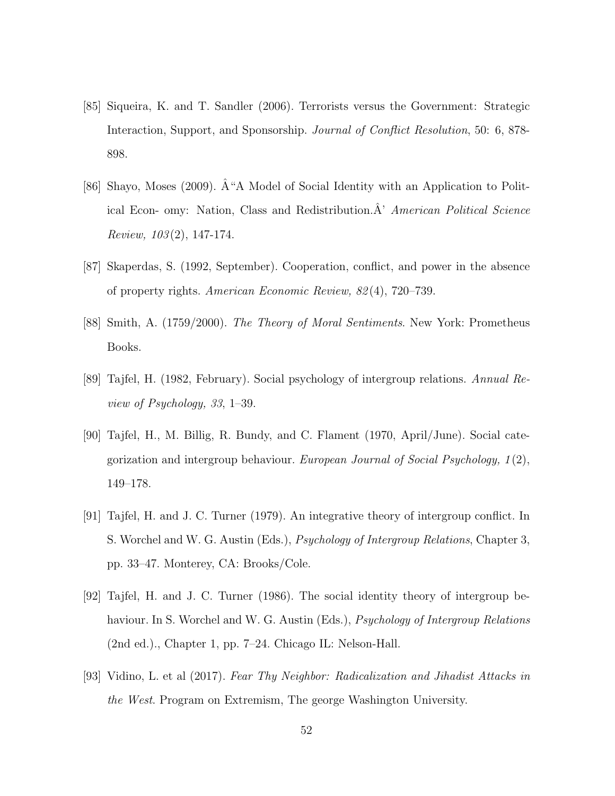- [85] Siqueira, K. and T. Sandler (2006). Terrorists versus the Government: Strategic Interaction, Support, and Sponsorship. Journal of Conflict Resolution, 50: 6, 878- 898.
- [86] Shayo, Moses (2009).  $\hat{A}$  "A Model of Social Identity with an Application to Political Econ- omy: Nation, Class and Redistribution. $A'$  American Political Science Review,  $103(2)$ , 147-174.
- [87] Skaperdas, S. (1992, September). Cooperation, conflict, and power in the absence of property rights. American Economic Review, 82 (4), 720–739.
- [88] Smith, A. (1759/2000). The Theory of Moral Sentiments. New York: Prometheus Books.
- [89] Tajfel, H. (1982, February). Social psychology of intergroup relations. Annual Review of Psychology, 33, 1–39.
- [90] Tajfel, H., M. Billig, R. Bundy, and C. Flament (1970, April/June). Social categorization and intergroup behaviour. European Journal of Social Psychology, 1 (2), 149–178.
- [91] Tajfel, H. and J. C. Turner (1979). An integrative theory of intergroup conflict. In S. Worchel and W. G. Austin (Eds.), Psychology of Intergroup Relations, Chapter 3, pp. 33–47. Monterey, CA: Brooks/Cole.
- [92] Tajfel, H. and J. C. Turner (1986). The social identity theory of intergroup behaviour. In S. Worchel and W. G. Austin (Eds.), *Psychology of Intergroup Relations* (2nd ed.)., Chapter 1, pp. 7–24. Chicago IL: Nelson-Hall.
- [93] Vidino, L. et al (2017). Fear Thy Neighbor: Radicalization and Jihadist Attacks in the West. Program on Extremism, The george Washington University.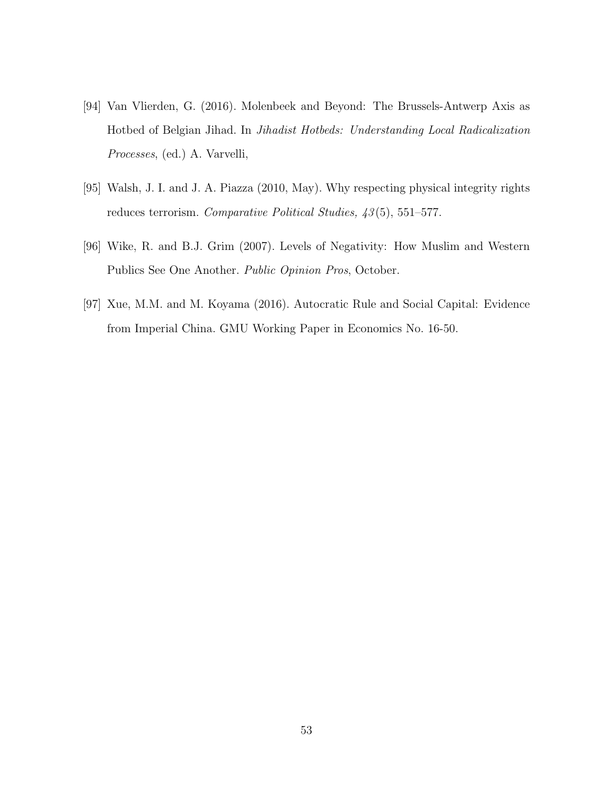- [94] Van Vlierden, G. (2016). Molenbeek and Beyond: The Brussels-Antwerp Axis as Hotbed of Belgian Jihad. In Jihadist Hotbeds: Understanding Local Radicalization Processes, (ed.) A. Varvelli,
- [95] Walsh, J. I. and J. A. Piazza (2010, May). Why respecting physical integrity rights reduces terrorism. Comparative Political Studies,  $\frac{43}{5}$ , 551–577.
- [96] Wike, R. and B.J. Grim (2007). Levels of Negativity: How Muslim and Western Publics See One Another. Public Opinion Pros, October.
- [97] Xue, M.M. and M. Koyama (2016). Autocratic Rule and Social Capital: Evidence from Imperial China. GMU Working Paper in Economics No. 16-50.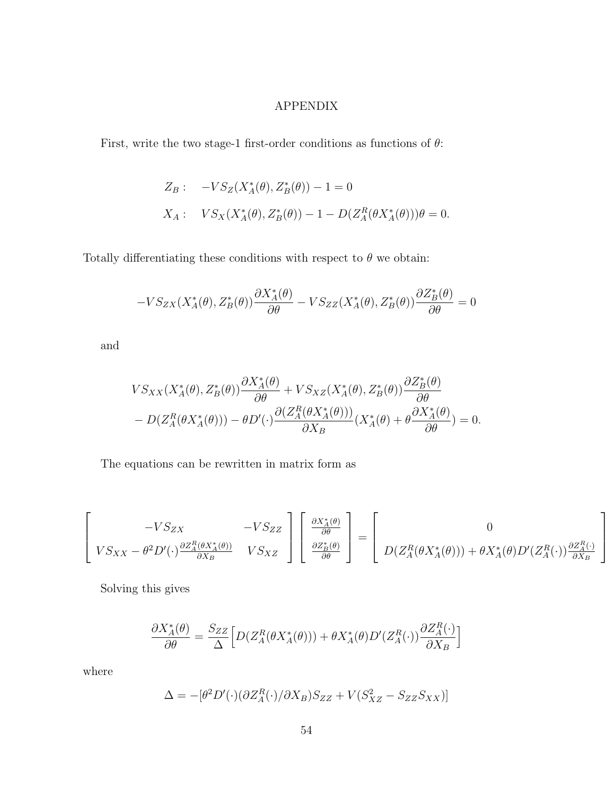#### APPENDIX

First, write the two stage-1 first-order conditions as functions of  $\theta$ :

$$
Z_B: \quad -VS_Z(X_A^*(\theta), Z_B^*(\theta)) - 1 = 0
$$
  

$$
X_A: \quad VS_X(X_A^*(\theta), Z_B^*(\theta)) - 1 - D(Z_A^R(\theta X_A^*(\theta)))\theta = 0.
$$

Totally differentiating these conditions with respect to  $\theta$  we obtain:

$$
-VS_{ZX}(X_A^*(\theta), Z_B^*(\theta))\frac{\partial X_A^*(\theta)}{\partial \theta} - VS_{ZZ}(X_A^*(\theta), Z_B^*(\theta))\frac{\partial Z_B^*(\theta)}{\partial \theta} = 0
$$

and

$$
VS_{XX}(X_A^*(\theta), Z_B^*(\theta))\frac{\partial X_A^*(\theta)}{\partial \theta} + VS_{XZ}(X_A^*(\theta), Z_B^*(\theta))\frac{\partial Z_B^*(\theta)}{\partial \theta} - D(Z_A^R(\theta X_A^*(\theta))) - \theta D'(\cdot)\frac{\partial (Z_A^R(\theta X_A^*(\theta)))}{\partial X_B}(X_A^*(\theta) + \theta \frac{\partial X_A^*(\theta)}{\partial \theta}) = 0.
$$

The equations can be rewritten in matrix form as

$$
\begin{bmatrix}\n-VS_{ZX} & -VS_{ZZ} \\
VS_{XX} - \theta^2 D'(\cdot) \frac{\partial Z_A^R(\theta X_A^*(\theta))}{\partial X_B} & VS_{XZ}\n\end{bmatrix}\n\begin{bmatrix}\n\frac{\partial X_A^*(\theta)}{\partial \theta} \\
\frac{\partial Z_B^*(\theta)}{\partial \theta}\n\end{bmatrix} =\n\begin{bmatrix}\n0 \\
D(Z_A^R(\theta X_A^*(\theta))) + \theta X_A^*(\theta) D'(Z_A^R(\cdot)) \frac{\partial Z_A^R(\cdot)}{\partial X_B}\n\end{bmatrix}
$$

Solving this gives

$$
\frac{\partial X_A^*(\theta)}{\partial \theta} = \frac{S_{ZZ}}{\Delta} \Big[ D(Z_A^R(\theta X_A^*(\theta))) + \theta X_A^*(\theta) D'(Z_A^R(\cdot)) \frac{\partial Z_A^R(\cdot)}{\partial X_B} \Big]
$$

where

$$
\Delta = -[\theta^2 D'(\cdot)(\partial Z_A^R(\cdot)/\partial X_B)S_{ZZ} + V(S_{XZ}^2 - S_{ZZ}S_{XX})]
$$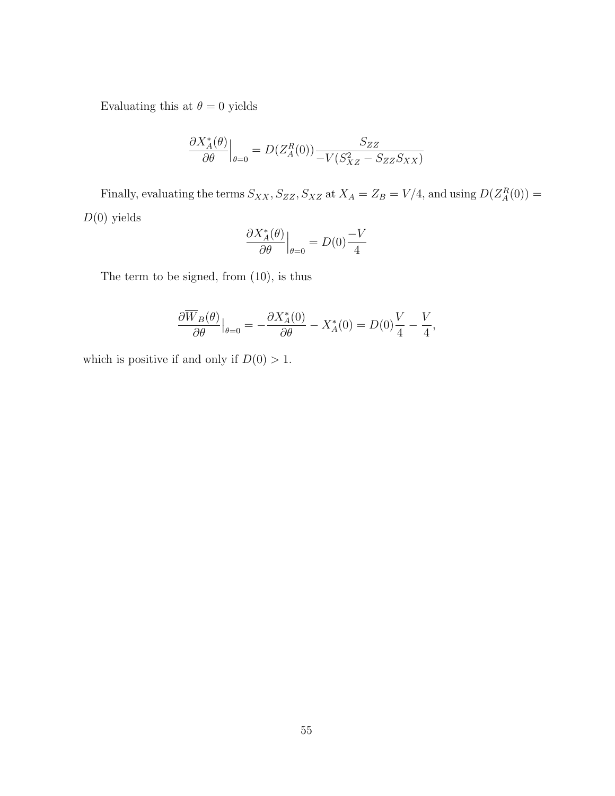Evaluating this at  $\theta=0$  yields

$$
\frac{\partial X_A^*(\theta)}{\partial \theta}\Big|_{\theta=0} = D(Z_A^R(0)) \frac{S_{ZZ}}{-V(S_{XZ}^2 - S_{ZZ}S_{XX})}
$$

Finally, evaluating the terms  $S_{XX}$ ,  $S_{ZZ}$ ,  $S_{XZ}$  at  $X_A = Z_B = V/4$ , and using  $D(Z_A^R(0)) =$  $D(0)$  yields

$$
\left. \frac{\partial X_A^*(\theta)}{\partial \theta} \right|_{\theta=0} = D(0) \frac{-V}{4}
$$

The term to be signed, from (10), is thus

$$
\frac{\partial \overline{W}_B(\theta)}{\partial \theta}\big|_{\theta=0} = -\frac{\partial X_A^*(0)}{\partial \theta} - X_A^*(0) = D(0)\frac{V}{4} - \frac{V}{4},
$$

which is positive if and only if  $D(0) > 1$ .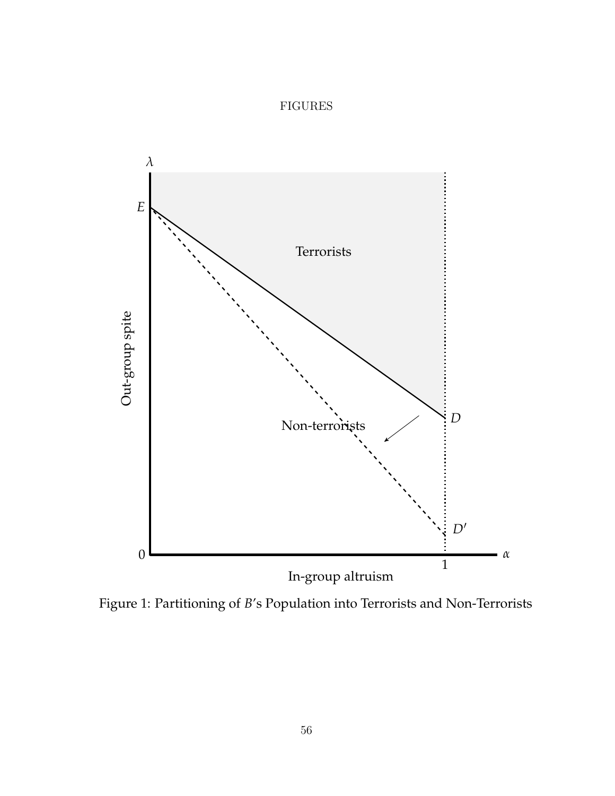#### FIGURES



Figure 1: Partitioning of *B*'s Population into Terrorists and Non-Terrorists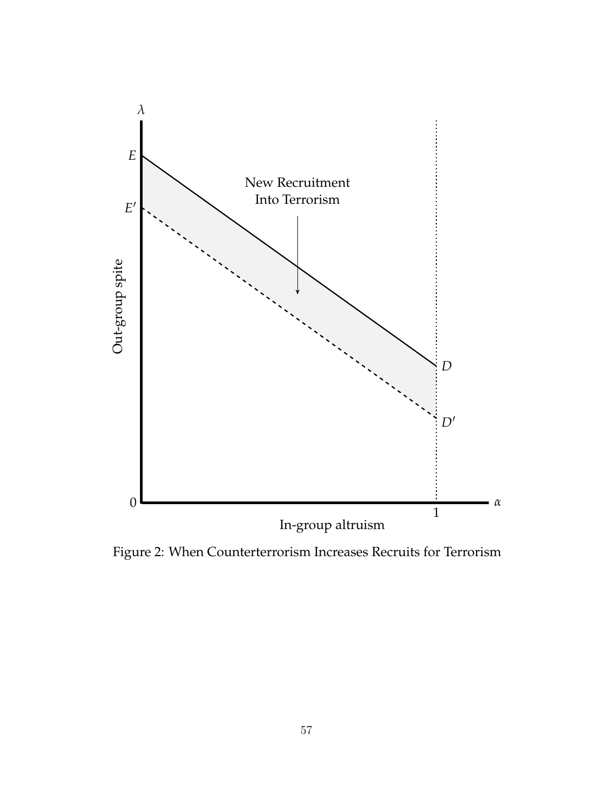

Figure 2: When Counterterrorism Increases Recruits for Terrorism